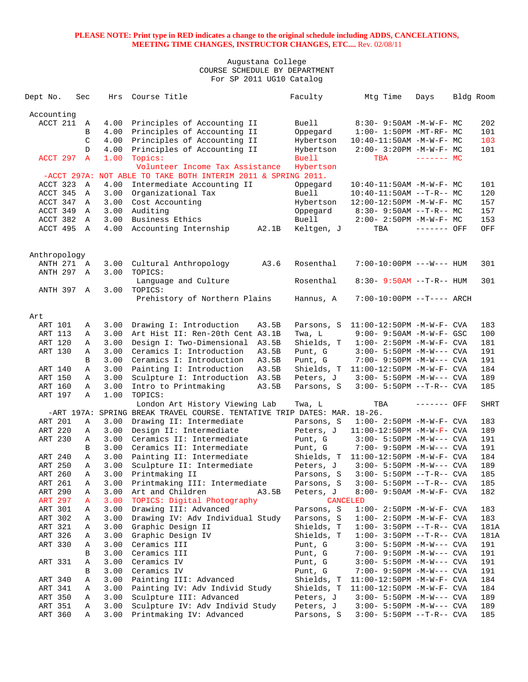| Dept No.               | Sec          | Hrs          | Course Title                                                             | Faculty      | Mtg Time                             | Days         | Bldg Room |             |
|------------------------|--------------|--------------|--------------------------------------------------------------------------|--------------|--------------------------------------|--------------|-----------|-------------|
| Accounting             |              |              |                                                                          |              |                                      |              |           |             |
| ACCT 211               | Α            | 4.00         | Principles of Accounting II                                              | Buell        | $8:30 - 9:50AM - M - W - F - MC$     |              |           | 202         |
|                        | B            | 4.00         | Principles of Accounting II                                              | Oppegard     | $1:00-1:50PM -MT-RF-MC$              |              |           | 101         |
|                        | C            | 4.00         | Principles of Accounting II                                              | Hybertson    | $10:40-11:50AM$ -M-W-F- MC           |              |           | 103         |
|                        | $\mathbb{D}$ | 4.00         | Principles of Accounting II                                              | Hybertson    | 2:00- 3:20PM -M-W-F- MC              |              |           | 101         |
| ACCT 297               | A            | 1.00         | Topics:                                                                  | Buell        | <b>TBA</b>                           | $------$ MC  |           |             |
|                        |              |              | Volunteer Income Tax Assistance                                          | Hybertson    |                                      |              |           |             |
|                        |              |              | -ACCT 297A: NOT ABLE TO TAKE BOTH INTERIM 2011 & SPRING 2011.            |              |                                      |              |           |             |
| ACCT 323               | A            | 4.00         | Intermediate Accounting II                                               | Oppegard     | $10:40 - 11:50AM$ -M-W-F- MC         |              |           | 101         |
| ACCT 345               | $\mathbb A$  | 3.00         | Organizational Tax                                                       | <b>Buell</b> | $10:40-11:50AM$ --T-R-- MC           |              |           | 120         |
| ACCT 347               | Α            | 3.00         | Cost Accounting                                                          | Hybertson    | 12:00-12:50PM -M-W-F- MC             |              |           | 157         |
| ACCT 349               | A            | 3.00         | Auditing                                                                 | Oppegard     | $8:30-9:50AM --T-R--MC$              |              |           | 157         |
| ACCT 382               | A            | 3.00         | Business Ethics                                                          | <b>Buell</b> | $2:00 - 2:50PM -M-W-F - MC$          |              |           | 153         |
| ACCT 495               | A            | 4.00         | A2.1B<br>Accounting Internship                                           | Keltgen, J   | TBA                                  | $------$ OFF |           | OFF         |
|                        |              |              |                                                                          |              |                                      |              |           |             |
| Anthropology           |              |              |                                                                          |              |                                      |              |           |             |
| ANTH 271 A<br>ANTH 297 | A            | 3.00<br>3.00 | Cultural Anthropology<br>A3.6<br>TOPICS:                                 | Rosenthal    | 7:00-10:00PM ---W--- HUM             |              |           | 301         |
| ANTH 397 A             |              | 3.00         | Language and Culture<br>TOPICS:                                          | Rosenthal    | $8:30 - 9:50AM -T-R-- HUM$           |              |           | 301         |
|                        |              |              | Prehistory of Northern Plains                                            | Hannus, A    | $7:00-10:00PM$ --T---- ARCH          |              |           |             |
| Art                    |              |              |                                                                          |              |                                      |              |           |             |
| ART 101                | Α            | 3.00         | Drawing I: Introduction<br>A3.5B                                         | Parsons, S   | 11:00-12:50PM -M-W-F- CVA            |              |           | 183         |
| ART 113                | Α            | 3.00         | Art Hist II: Ren-20th Cent A3.1B                                         | Twa, L       | 9:00- 9:50AM -M-W-F- GSC             |              |           | 100         |
| ART 120                | Α            | 3.00         | Design I: Two-Dimensional<br>A3.5B                                       | Shields, T   | $1:00-2:50PM -M-W-F-CVA$             |              |           | 181         |
| ART 130                | Α            | 3.00         | Ceramics I: Introduction<br>A3.5B                                        | Punt, G      | $3:00 - 5:50PM -M-W---$ CVA          |              |           | 191         |
|                        | B            | 3.00         | Ceramics I: Introduction<br>A3.5B                                        | Punt, G      | 7:00- 9:50PM -M-W--- CVA             |              |           | 191         |
| ART 140                | Α            | 3.00         | Painting I: Introduction<br>A3.5B                                        |              | Shields, T 11:00-12:50PM -M-W-F- CVA |              |           | 184         |
| ART 150                | Α            | 3.00         | Sculpture I: Introduction<br>A3.5B                                       | Peters, J    | $3:00 - 5:50PM -M-W---$ CVA          |              |           | 189         |
| ART 160                | Α            | 3.00         | Intro to Printmaking<br>A3.5B                                            | Parsons, S   | $3:00 - 5:50PM -T-R--$ CVA           |              |           | 185         |
| ART 197                | Α            | 1.00         | TOPICS:                                                                  |              |                                      |              |           |             |
|                        |              |              | London Art History Viewing Lab                                           | Twa, L       | TBA                                  | ------- OFF  |           | <b>SHRT</b> |
|                        |              |              | -ART 197A: SPRING BREAK TRAVEL COURSE. TENTATIVE TRIP DATES: MAR. 18-26. |              |                                      |              |           |             |
| ART 201                | Α            | 3.00         | Drawing II: Intermediate                                                 | Parsons, S   | $1:00 - 2:50PM -M-W-F - CVA$         |              |           | 183         |
| ART 220                | Α            | 3.00         | Design II: Intermediate                                                  | Peters, J    | $11:00-12:50PM -M-W-F-CVA$           |              |           | 189         |
| ART 230                | Α            | 3.00         | Ceramics II: Intermediate                                                | Punt, G      | $3:00 - 5:50PM -M-W---$ CVA          |              |           | 191         |
|                        | B            | 3.00         | Ceramics II: Intermediate                                                | Punt, G      | 7:00- 9:50PM -M-W--- CVA             |              |           | 191         |
| ART 240                | Α            | 3.00         | Painting II: Intermediate                                                | Shields, T   | 11:00-12:50PM -M-W-F- CVA            |              |           | 184         |
| ART 250                | Α            | 3.00         | Sculpture II: Intermediate                                               | Peters, J    | $3:00 - 5:50PM -M-W---$ CVA          |              |           | 189         |
| ART 260                | A            | 3.00         | Printmaking II                                                           | Parsons, S   | $3:00 - 5:50PM -T-R--CVA$            |              |           | 185         |
| ART 261                | А            | 3.00         | Printmaking III: Intermediate                                            | Parsons, S   | $3:00 - 5:50PM -T-R--CVA$            |              |           | 185         |
| ART 290                | А            | 3.00         | Art and Children<br>A3.5B                                                | Peters, J    | 8:00- 9:50AM -M-W-F- CVA             |              |           | 182         |
| <b>ART 297</b>         | A            | 3.00         | TOPICS: Digital Photography                                              | CANCELED     |                                      |              |           |             |
| ART 301                | А            | 3.00         | Drawing III: Advanced                                                    | Parsons, S   | $1:00 - 2:50PM -M-W-F - CVA$         |              |           | 183         |
| ART 302                | А            | 3.00         | Drawing IV: Adv Individual Study                                         | Parsons, S   | $1:00-2:50PM -M-W-F-CVA$             |              |           | 183         |
| ART 321                | Α            | 3.00         | Graphic Design II                                                        | Shields, T   | $1:00-3:50PM -T-R--CVA$              |              |           | 181A        |
| ART 326                | Α            | 3.00         | Graphic Design IV                                                        | Shields, T   | 1:00- 3:50PM --T-R-- CVA             |              |           | 181A        |
| ART 330                | Α            | 3.00         | Ceramics III                                                             | Punt, G      | $3:00 - 5:50PM -M-W---$ CVA          |              |           | 191         |
|                        | В            | 3.00         | Ceramics III                                                             | Punt, G      | 7:00- 9:50PM -M-W--- CVA             |              |           | 191         |
| ART 331                | Α            | 3.00         | Ceramics IV                                                              | Punt, G      | $3:00 - 5:50PM -M-W---$ CVA          |              |           | 191         |
|                        | B            | 3.00         | Ceramics IV                                                              | Punt, G      | 7:00- 9:50PM -M-W--- CVA             |              |           | 191         |
| ART 340                | Α            | 3.00         | Painting III: Advanced                                                   | Shields, T   | $11:00-12:50PM$ -M-W-F- CVA          |              |           | 184         |
| ART 341                | А            | 3.00         | Painting IV: Adv Individ Study                                           | Shields, T   | $11:00-12:50PM$ -M-W-F- CVA          |              |           | 184         |
| ART 350                | Α            | 3.00         | Sculpture III: Advanced                                                  | Peters, J    | $3:00 - 5:50PM -M-W---$ CVA          |              |           | 189         |
| ART 351                | Α            | 3.00         | Sculpture IV: Adv Individ Study                                          | Peters, J    | $3:00 - 5:50PM -M-W---$ CVA          |              |           | 189         |
| ART 360                | Α            | 3.00         | Printmaking IV: Advanced                                                 | Parsons, S   | $3:00 - 5:50PM -T-R--CVA$            |              |           | 185         |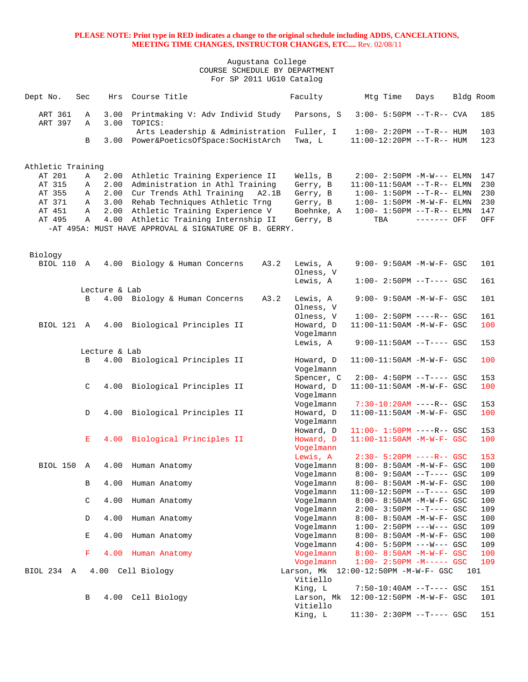| Dept No.           | Sec           | Hrs           | Course Title                                                                             |       | Faculty                | Mtg Time                                                  | Days        |     | Bldg Room  |
|--------------------|---------------|---------------|------------------------------------------------------------------------------------------|-------|------------------------|-----------------------------------------------------------|-------------|-----|------------|
| ART 361<br>ART 397 | Α<br>Α        | 3.00<br>3.00  | Printmaking V: Adv Individ Study<br>TOPICS:                                              |       | Parsons, S             | $3:00 - 5:50PM -T-R--$ CVA                                |             |     | 185        |
|                    |               |               | Arts Leadership & Administration Fuller, I                                               |       |                        | $1:00-2:20PM -T-R--HUM$                                   |             |     | 103        |
|                    | B             |               | 3.00 Power&PoeticsOfSpace:SocHistArch                                                    |       | Twa, L                 | 11:00-12:20PM --T-R-- HUM                                 |             |     | 123        |
| Athletic Training  |               |               |                                                                                          |       |                        |                                                           |             |     |            |
| AT 201             | Α             |               | 2.00 Athletic Training Experience II                                                     |       | Wells, B               | $2:00 - 2:50PM -M-W---$ ELMN                              |             |     | 147        |
| AT 315             | Α             | 2.00          | Administration in Athl Training                                                          |       | Gerry, B               | $11:00-11:50AM$ --T-R-- ELMN                              |             |     | 230        |
| AT 355             | Α             | 2.00          | Cur Trends Athl Training                                                                 | A2.1B | Gerry, B               | $1:00 - 1:50PM -T-R-- ELMN$                               |             |     | 230        |
| AT 371             | Α             |               | 3.00 Rehab Techniques Athletic Trng                                                      |       | Gerry, B               | $1:00-1:50PM -M-W-F-ELMN$                                 |             |     | 230        |
| AT 451             | Α             |               | 2.00 Athletic Training Experience V                                                      |       | Boehnke, A             | $1:00 - 1:50PM -T-R-- ELMN$                               |             |     | 147        |
| AT 495             | Α             | 4.00          | Athletic Training Internship II<br>-AT 495A: MUST HAVE APPROVAL & SIGNATURE OF B. GERRY. |       | Gerry, B               | TBA                                                       | ------- OFF |     | OFF        |
|                    |               |               |                                                                                          |       |                        |                                                           |             |     |            |
| Biology            |               |               |                                                                                          |       |                        |                                                           |             |     |            |
| BIOL 110 A         |               |               | 4.00 Biology & Human Concerns                                                            | A3.2  | Lewis, A               | $9:00 - 9:50AM - M - W - F - GSC$                         |             |     | 101        |
|                    |               |               |                                                                                          |       | Olness, V              |                                                           |             |     |            |
|                    |               | Lecture & Lab |                                                                                          |       | Lewis, A               | $1:00-2:50PM$ --T---- GSC                                 |             |     | 161        |
|                    | B             |               | 4.00 Biology & Human Concerns                                                            | A3.2  | Lewis, A<br>Olness, V  | 9:00- 9:50AM -M-W-F- GSC                                  |             |     | 101        |
|                    |               |               |                                                                                          |       | Olness, V              | $1:00-2:50PM$ ----R-- GSC                                 |             |     | 161        |
| BIOL 121 A         |               |               | 4.00 Biological Principles II                                                            |       | Howard, D<br>Vogelmann | 11:00-11:50AM -M-W-F- GSC                                 |             |     | 100        |
|                    |               |               |                                                                                          |       | Lewis, A               | $9:00-11:50AM$ --T---- GSC                                |             |     | 153        |
|                    |               | Lecture & Lab |                                                                                          |       |                        |                                                           |             |     |            |
|                    | B             |               | 4.00 Biological Principles II                                                            |       | Howard, D<br>Vogelmann | 11:00-11:50AM -M-W-F- GSC                                 |             |     | 100        |
|                    |               |               |                                                                                          |       | Spencer, C             | $2:00-4:50PM -T---GSC$                                    |             |     | 153        |
|                    | $\mathcal{C}$ |               | 4.00 Biological Principles II                                                            |       | Howard, D<br>Vogelmann | $11:00-11:50AM$ -M-W-F- GSC                               |             |     | 100        |
|                    | D             | 4.00          | Biological Principles II                                                                 |       | Vogelmann<br>Howard, D | $7:30-10:20AM$ ----R-- GSC<br>$11:00-11:50AM$ -M-W-F- GSC |             |     | 153<br>100 |
|                    |               |               |                                                                                          |       | Vogelmann<br>Howard, D | $11:00 - 1:50PM$ ----R-- GSC                              |             |     | 153        |
|                    | Е             |               | 4.00 Biological Principles II                                                            |       | Howard, D              | 11:00-11:50AM -M-W-F- GSC                                 |             |     | 100        |
|                    |               |               |                                                                                          |       | Vogelmann              |                                                           |             |     |            |
|                    |               |               |                                                                                          |       | Lewis, A               | $2:30 - 5:20PM$ ----R-- GSC                               |             |     | 153        |
| BIOL 150           | A             | 4.00          | Human Anatomy                                                                            |       | Vogelmann              | 8:00- 8:50AM -M-W-F- GSC                                  |             |     | 100        |
|                    |               |               |                                                                                          |       | Vogelmann              | $8:00 - 9:50AM -T--- GSC$                                 |             |     | 109        |
|                    | В             | 4.00          | Human Anatomy                                                                            |       | Vogelmann              | 8:00- 8:50AM -M-W-F- GSC                                  |             |     | 100        |
|                    | C             | 4.00          | Human Anatomy                                                                            |       | Vogelmann<br>Vogelmann | 11:00-12:50PM --T---- GSC<br>8:00- 8:50AM -M-W-F- GSC     |             |     | 109<br>100 |
|                    |               |               |                                                                                          |       | Vogelmann              | $2:00-3:50PM -T---GSC$                                    |             |     | 109        |
|                    | D             | 4.00          | Human Anatomy                                                                            |       | Vogelmann              | 8:00- 8:50AM -M-W-F- GSC                                  |             |     | 100        |
|                    |               |               |                                                                                          |       | Vogelmann              | $1:00 - 2:50PM$ ---W--- GSC                               |             |     | 109        |
|                    | Е             | 4.00          | Human Anatomy                                                                            |       | Vogelmann              | 8:00- 8:50AM -M-W-F- GSC                                  |             |     | 100        |
|                    |               |               |                                                                                          |       | Vogelmann              | $4:00 - 5:50PM$ ---W--- GSC                               |             |     | 109        |
|                    | F             | 4.00          | Human Anatomy                                                                            |       | Vogelmann              | 8:00- 8:50AM -M-W-F- GSC                                  |             |     | 100        |
|                    |               |               |                                                                                          |       | Vogelmann              | $1:00-2:50PM -M--- GSC$                                   |             |     | 109        |
| BIOL 234 A         |               |               | 4.00 Cell Biology                                                                        |       | Vitiello               | Larson, Mk 12:00-12:50PM -M-W-F- GSC                      |             | 101 |            |
|                    | В             | 4.00          | Cell Biology                                                                             |       | King, L<br>Larson, Mk  | $7:50-10:40AM$ --T---- GSC<br>12:00-12:50PM -M-W-F- GSC   |             |     | 151<br>101 |
|                    |               |               |                                                                                          |       | Vitiello               |                                                           |             |     |            |
|                    |               |               |                                                                                          |       | King, L                | 11:30- 2:30PM --T---- GSC                                 |             |     | 151        |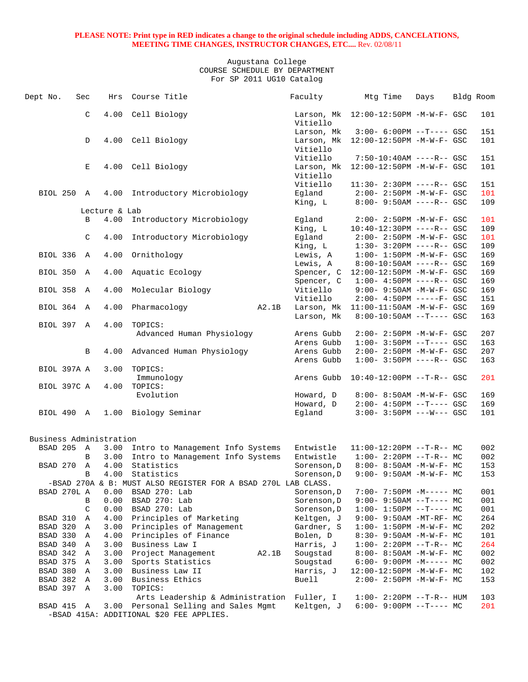| Dept No.                 | Sec          | Hrs           | Course Title                                                  |       | Faculty                | Mtg Time                                                    | Days | Bldg Room |            |
|--------------------------|--------------|---------------|---------------------------------------------------------------|-------|------------------------|-------------------------------------------------------------|------|-----------|------------|
|                          | C            | 4.00          | Cell Biology                                                  |       | Vitiello               | Larson, Mk 12:00-12:50PM -M-W-F- GSC                        |      |           | 101        |
|                          |              |               |                                                               |       | Larson, Mk             | $3:00-6:00PM$ --T---- GSC                                   |      |           | 151        |
|                          | D            |               | 4.00 Cell Biology                                             |       | Vitiello               | Larson, Mk 12:00-12:50PM -M-W-F- GSC                        |      |           | 101        |
|                          |              |               |                                                               |       | Vitiello               | $7:50-10:40AM$ ----R-- GSC                                  |      |           | 151        |
|                          | Е            | 4.00          | Cell Biology                                                  |       | Vitiello               | Larson, Mk 12:00-12:50PM -M-W-F- GSC                        |      |           | 101        |
|                          |              |               |                                                               |       | Vitiello               | 11:30- 2:30PM ----R-- GSC                                   |      |           | 151        |
| BIOL 250 A               |              |               | 4.00 Introductory Microbiology                                |       | Egland<br>King, L      | 2:00- 2:50PM -M-W-F- GSC<br>8:00- 9:50AM ----R-- GSC        |      |           | 101<br>109 |
|                          |              | Lecture & Lab |                                                               |       |                        |                                                             |      |           |            |
|                          | B            | 4.00          | Introductory Microbiology                                     |       | Eqland                 | $2:00 - 2:50PM - M - W - F - GSC$                           |      |           | 101        |
|                          |              |               |                                                               |       | King, L                | $10:40-12:30PM$ ----R-- GSC                                 |      |           | 109        |
|                          | C            | 4.00          | Introductory Microbiology                                     |       | Egland                 | 2:00- 2:50PM -M-W-F- GSC                                    |      |           | 101        |
|                          |              |               |                                                               |       | King, L                | $1:30-3:20PM$ ----R-- GSC                                   |      |           | 109        |
| BIOL 336 A               |              | 4.00          | Ornithology                                                   |       | Lewis, A               | $1:00 - 1:50PM - M - W - F - GSC$                           |      |           | 169        |
|                          |              |               |                                                               |       | Lewis, A               | $8:00-10:50AM$ ----R-- GSC                                  |      |           | 169        |
| BIOL 350 A               |              | 4.00          | Aquatic Ecology                                               |       |                        | Spencer, C 12:00-12:50PM -M-W-F- GSC                        |      |           | 169        |
|                          |              |               |                                                               |       | Spencer, C             | $1:00-4:50PM$ ----R-- GSC                                   |      |           | 169        |
| BIOL 358 A               |              | 4.00          | Molecular Biology                                             |       | Vitiello               | 9:00- 9:50AM -M-W-F- GSC                                    |      |           | 169        |
|                          |              |               |                                                               |       | Vitiello               | $2:00-4:50PM$ -----F- GSC                                   |      |           | 151        |
| BIOL 364 A               |              | 4.00          | Pharmacology                                                  | A2.1B | Larson, Mk             | 11:00-11:50AM -M-W-F- GSC                                   |      |           | 169        |
| BIOL 397 A               |              | 4.00          | TOPICS:                                                       |       | Larson, Mk             | $8:00-10:50AM$ --T---- GSC                                  |      |           | 163        |
|                          |              |               | Advanced Human Physiology                                     |       | Arens Gubb             | $2:00 - 2:50PM - M - W - F - GSC$                           |      |           | 207        |
|                          |              |               |                                                               |       | Arens Gubb             | $1:00-3:50PM --T---GSC$                                     |      |           | 163        |
|                          | B            | 4.00          | Advanced Human Physiology                                     |       | Arens Gubb             | 2:00- 2:50PM -M-W-F- GSC                                    |      |           | 207        |
|                          |              |               |                                                               |       | Arens Gubb             | $1:00-3:50PM$ ----R-- GSC                                   |      |           | 163        |
| BIOL 397A A              |              | 3.00          | TOPICS:                                                       |       |                        |                                                             |      |           |            |
|                          |              |               | Immunology                                                    |       | Arens Gubb             | $10:40-12:00PM$ --T-R-- GSC                                 |      |           | 201        |
| BIOL 397C A              |              | 4.00          | TOPICS:                                                       |       |                        |                                                             |      |           |            |
|                          |              |               | Evolution                                                     |       | Howard, D              | 8:00- 8:50AM -M-W-F- GSC                                    |      |           | 169        |
|                          |              |               |                                                               |       | Howard, D              | $2:00-4:50PM -T---GSC$                                      |      |           | 169        |
| BIOL 490 A               |              |               | 1.00 Biology Seminar                                          |       | Eqland                 | $3:00-3:50PM$ ---W--- GSC                                   |      |           | 101        |
|                          |              |               |                                                               |       |                        |                                                             |      |           |            |
| Business Administration  |              |               |                                                               |       |                        |                                                             |      |           |            |
| BSAD 205 A               |              |               | 3.00 Intro to Management Info Systems                         |       | Entwistle              | $11:00-12:20PM$ --T-R-- MC                                  |      |           | 002        |
|                          | B            |               | 3.00 Intro to Management Info Systems                         |       | Entwistle              | $1:00-2:20PM -T-R--MC$                                      |      |           | 002        |
| BSAD 270                 | $\mathbb{A}$ | 4.00          | Statistics                                                    |       | Sorenson, D            | 8:00- 8:50AM -M-W-F- MC                                     |      |           | 153        |
|                          | B            | 4.00          | Statistics                                                    |       | Sorenson, D            | $9:00 - 9:50AM - M - W - F - MC$                            |      |           | 153        |
|                          |              |               | -BSAD 270A & B: MUST ALSO REGISTER FOR A BSAD 270L LAB CLASS. |       |                        |                                                             |      |           |            |
| BSAD 270L A              |              | 0.00          | BSAD 270: Lab                                                 |       | Sorenson, D            | $7:00 - 7:50PM -M--- - M$                                   |      |           | 001        |
|                          | В            | 0.00          | BSAD 270: Lab                                                 |       | Sorenson, D            | 9:00- 9:50AM --T---- MC                                     |      |           | 001        |
|                          | C            | 0.00          | BSAD 270: Lab                                                 |       | Sorenson, D            | $1:00-1:50PM -T--- MC$                                      |      |           | 001        |
| BSAD 310                 | Α            | 4.00<br>3.00  | Principles of Marketing<br>Principles of Management           |       | Keltgen, J             | 9:00- 9:50AM -MT-RF- MC<br>$1:00 - 1:50PM - M - W - F - MC$ |      |           | 264        |
| BSAD 320 A<br>BSAD 330 A |              | 4.00          | Principles of Finance                                         |       | Gardner, S<br>Bolen, D | $8:30 - 9:50AM - M - W - F - MC$                            |      |           | 202<br>101 |
| BSAD 340 A               |              | 3.00          | Business Law I                                                |       | Harris, J              |                                                             |      |           | 264        |
| BSAD 342 A               |              | 3.00          | Project Management                                            | A2.1B | Sougstad               | $1:00-2:20PM -T-R--MC$<br>$8:00 - 8:50AM - M - W - F - MC$  |      |           | 002        |
| BSAD 375 A               |              | 3.00          | Sports Statistics                                             |       | Sougstad               | $6:00-9:00PM -M--- MC$                                      |      |           | 002        |
| BSAD 380 A               |              | 3.00          | Business Law II                                               |       | Harris, J              | $12:00-12:50PM -M-W-F-MC$                                   |      |           | 102        |
| BSAD 382 A               |              | 3.00          | Business Ethics                                               |       | Buell                  | 2:00- 2:50PM -M-W-F- MC                                     |      |           | 153        |
| BSAD 397 A               |              | 3.00          | TOPICS:                                                       |       |                        |                                                             |      |           |            |
|                          |              |               | Arts Leadership & Administration Fuller, I                    |       |                        | $1:00 - 2:20PM -T-R--HUM$                                   |      |           | 103        |
| BSAD 415 A               |              | 3.00          | Personal Selling and Sales Mgmt                               |       | Keltgen, J             | $6:00-9:00PM --T---MC$                                      |      |           | 201        |
|                          |              |               | -BSAD 415A: ADDITIONAL \$20 FEE APPLIES.                      |       |                        |                                                             |      |           |            |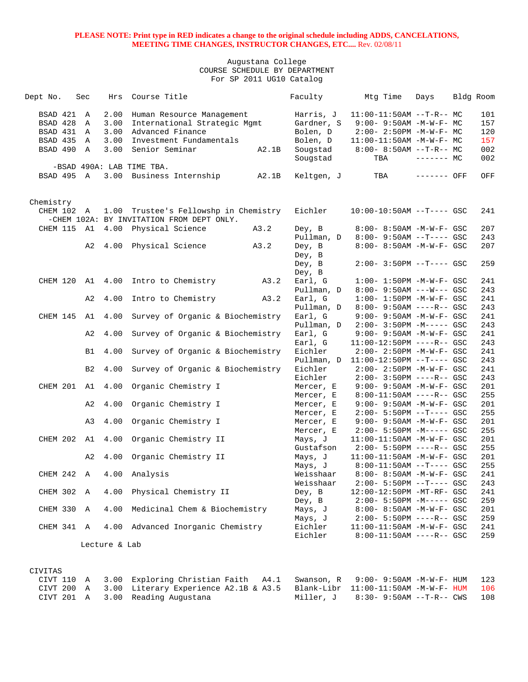| Dept No.  |          |            | Sec            | Hrs           | Course Title                              |       | Faculty    | Mtg Time                          | Days        | Bldg Room |
|-----------|----------|------------|----------------|---------------|-------------------------------------------|-------|------------|-----------------------------------|-------------|-----------|
|           | BSAD 421 |            | A              | 2.00          | Human Resource Management                 |       | Harris, J  | $11:00-11:50AM$ --T-R-- MC        |             | 101       |
|           | BSAD 428 |            | A              | 3.00          | International Strategic Mgmt              |       | Gardner, S | $9:00 - 9:50AM - M - W - F - MC$  |             | 157       |
|           | BSAD 431 |            | A              | 3.00          | Advanced Finance                          |       | Bolen, D   | $2:00 - 2:50PM -M-W-F - MC$       |             | 120       |
|           |          | BSAD 435 A |                | 3.00          | Investment Fundamentals                   |       | Bolen, D   | 11:00-11:50AM -M-W-F- MC          |             | 157       |
|           | BSAD 490 |            | A              | 3.00          | Senior Seminar                            | A2.1B | Sougstad   | $8:00 - 8:50AM -T-R-- MC$         |             | 002       |
|           |          |            |                |               |                                           |       | Sougstad   | TBA                               | $------$ MC | 002       |
|           |          |            |                |               | -BSAD 490A: LAB TIME TBA.                 |       |            |                                   |             |           |
|           |          | BSAD 495 A |                |               | 3.00 Business Internship                  | A2.1B | Keltgen, J | TBA                               | ------- OFF | OFF       |
|           |          |            |                |               |                                           |       |            |                                   |             |           |
| Chemistry |          | CHEM 102 A |                |               | 1.00 Trustee's Fellowshp in Chemistry     |       | Eichler    | $10:00-10:50AM$ --T---- GSC       |             | 241       |
|           |          |            |                |               | -CHEM 102A: BY INVITATION FROM DEPT ONLY. |       |            |                                   |             |           |
|           | CHEM 115 |            | A1             |               | 4.00 Physical Science                     | A3.2  | Dey, B     | 8:00- 8:50AM -M-W-F- GSC          |             | 207       |
|           |          |            |                |               |                                           |       | Pullman, D | $8:00 - 9:50AM -T---$ GSC         |             | 243       |
|           |          |            | A2             | 4.00          | Physical Science                          | A3.2  | Dey, B     | 8:00- 8:50AM -M-W-F- GSC          |             | 207       |
|           |          |            |                |               |                                           |       | Dey, B     |                                   |             |           |
|           |          |            |                |               |                                           |       | Dey, B     | $2:00-3:50PM$ --T---- GSC         |             | 259       |
|           |          |            |                |               |                                           |       | Dey, B     |                                   |             |           |
|           |          | CHEM 120   | A1             | 4.00          | Intro to Chemistry                        | A3.2  | Earl, G    | $1:00 - 1:50PM -M-W-F- GSC$       |             | 241       |
|           |          |            |                |               |                                           |       | Pullman, D | $8:00 - 9:50AM$ ---W--- GSC       |             | 243       |
|           |          |            | A2             | 4.00          | Intro to Chemistry                        | A3.2  | Earl, G    | $1:00 - 1:50PM - M - W - F - GSC$ |             | 241       |
|           |          |            |                |               |                                           |       | Pullman, D | $8:00 - 9:50AM$ ----R-- GSC       |             | 243       |
|           |          |            | CHEM 145 A1    | 4.00          | Survey of Organic & Biochemistry          |       | Earl, G    | 9:00- 9:50AM -M-W-F- GSC          |             | 241       |
|           |          |            |                |               |                                           |       | Pullman, D | $2:00 - 3:50PM -M--- GSC$         |             | 243       |
|           |          |            | A2             | 4.00          | Survey of Organic & Biochemistry          |       | Earl, G    | $9:00 - 9:50AM - M - W - F - GSC$ |             | 241       |
|           |          |            |                |               |                                           |       | Earl, G    | $11:00-12:50PM$ ----R-- GSC       |             | 243       |
|           |          |            | B1             | 4.00          | Survey of Organic & Biochemistry          |       | Eichler    | $2:00 - 2:50PM - M - W - F - GSC$ |             | 241       |
|           |          |            |                |               |                                           |       | Pullman, D | $11:00-12:50PM$ --T---- GSC       |             | 243       |
|           |          |            | B <sub>2</sub> | 4.00          | Survey of Organic & Biochemistry          |       | Eichler    | $2:00 - 2:50PM - M - W - F - GSC$ |             | 241       |
|           |          |            |                |               |                                           |       | Eichler    | $2:00 - 3:50PM$ ----R-- GSC       |             | 243       |
|           |          | CHEM 201   | A1             | 4.00          | Organic Chemistry I                       |       | Mercer, E  | 9:00- 9:50AM -M-W-F- GSC          |             | 201       |
|           |          |            |                |               |                                           |       | Mercer, E  | $8:00-11:50AM$ ----R-- GSC        |             | 255       |
|           |          |            | A2             | 4.00          | Organic Chemistry I                       |       | Mercer, E  | $9:00 - 9:50AM - M - W - F - GSC$ |             | 201       |
|           |          |            |                |               |                                           |       | Mercer, E  | $2:00 - 5:50PM -T--- GSC$         |             | 255       |
|           |          |            | A3             | 4.00          | Organic Chemistry I                       |       | Mercer, E  | $9:00 - 9:50AM - M - W - F - GSC$ |             | 201       |
|           |          |            |                |               |                                           |       | Mercer, E  | $2:00 - 5:50PM -M--- GSC$         |             | 255       |
|           |          |            | CHEM 202 A1    | 4.00          | Organic Chemistry II                      |       | Mays, J    | $11:00-11:50AM$ -M-W-F- GSC       |             | 201       |
|           |          |            |                |               |                                           |       | Gustafson  | $2:00 - 5:50PM$ ----R-- GSC       |             | 255       |
|           |          |            | A2             | 4.00          | Organic Chemistry II                      |       | Mays, J    | $11:00-11:50AM$ -M-W-F- GSC       |             | 201       |
|           |          |            |                |               |                                           |       | Mays, J    | $8:00-11:50AM$ --T---- GSC        |             | 255       |
|           |          | CHEM 242 A |                |               | 4.00 Analysis                             |       | Weisshaar  | 8:00- 8:50AM -M-W-F- GSC          |             | 241       |
|           |          |            |                |               |                                           |       | Weisshaar  | $2:00-5:50PM -T--- GSC$           |             | 243       |
|           |          | CHEM 302 A |                | 4.00          | Physical Chemistry II                     |       | Dey, B     | 12:00-12:50PM -MT-RF- GSC         |             | 241       |
|           |          |            |                |               |                                           |       | Dey, B     | $2:00 - 5:50PM -M--- GSC$         |             | 259       |
|           |          | CHEM 330 A |                | 4.00          | Medicinal Chem & Biochemistry             |       | Mays, J    | $8:00 - 8:50AM - M - W - F - GSC$ |             | 201       |
|           |          |            |                |               |                                           |       | Mays, J    | $2:00 - 5:50PM$ ----R-- GSC       |             | 259       |
|           |          | CHEM 341 A |                | 4.00          | Advanced Inorganic Chemistry              |       | Eichler    | 11:00-11:50AM -M-W-F- GSC         |             | 241       |
|           |          |            |                |               |                                           |       | Eichler    | $8:00-11:50AM$ ----R-- GSC        |             | 259       |
|           |          |            |                | Lecture & Lab |                                           |       |            |                                   |             |           |
|           |          |            |                |               |                                           |       |            |                                   |             |           |
|           |          |            |                |               |                                           |       |            |                                   |             |           |
| CIVITAS   |          |            |                |               |                                           |       |            |                                   |             |           |

|  | CIVT 110 A 3.00 Exploring Christian Faith A4.1 Swanson, R 9:00-9:50AM-M-W-F-HUM 123       |                                       |  |
|--|-------------------------------------------------------------------------------------------|---------------------------------------|--|
|  | CIVT 200 A 3.00 Literary Experience A2.1B & A3.5 Blank-Libr 11:00-11:50AM -M-W-F- HUM 106 |                                       |  |
|  | CIVT 201 A 3.00 Reading Augustana                                                         | Miller, J 8:30-9:50AM --T-R-- CWS 108 |  |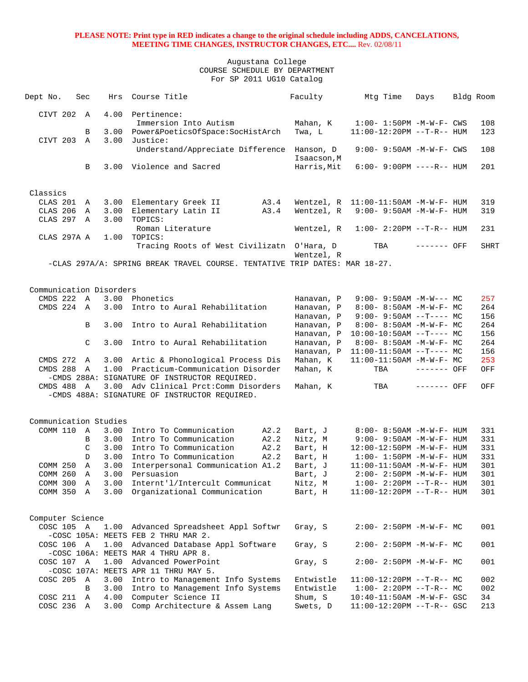| Dept No.                              | Sec               | Hrs          | Course Title                                                               | Faculty                  | Mtg Time                                                       | Days         | Bldg Room |             |
|---------------------------------------|-------------------|--------------|----------------------------------------------------------------------------|--------------------------|----------------------------------------------------------------|--------------|-----------|-------------|
|                                       |                   |              |                                                                            |                          |                                                                |              |           |             |
| CIVT 202 A                            |                   | 4.00         | Pertinence:                                                                |                          |                                                                |              |           |             |
|                                       |                   |              | Immersion Into Autism                                                      | Mahan, K                 | $1:00 - 1:50PM - M - W - F - CWS$                              |              |           | 108         |
|                                       | В                 | 3.00         | Power&PoeticsOfSpace:SocHistArch                                           | Twa, L                   | 11:00-12:20PM --T-R-- HUM                                      |              |           | 123         |
| CIVT 203 A                            |                   | 3.00         | Justice:                                                                   |                          |                                                                |              |           |             |
|                                       |                   |              | Understand/Appreciate Difference                                           | Hanson, D<br>Isaacson, M | $9:00 - 9:50AM - M - W - F - CWS$                              |              |           | 108         |
|                                       | B                 |              | 3.00 Violence and Sacred                                                   | Harris, Mit              | $6:00 - 9:00PM$ ----R-- HUM                                    |              |           | 201         |
|                                       |                   |              |                                                                            |                          |                                                                |              |           |             |
|                                       |                   |              |                                                                            |                          |                                                                |              |           |             |
| Classics                              |                   |              |                                                                            |                          |                                                                |              |           |             |
| CLAS 201                              | A                 | 3.00         | Elementary Greek II<br>A3.4                                                |                          | Wentzel, $R$ 11:00-11:50AM -M-W-F- HUM                         |              |           | 319         |
| CLAS 206                              | A                 | 3.00         | Elementary Latin II<br>A3.4                                                | Wentzel, R               | $9:00 - 9:50AM - M - W - F - HUM$                              |              |           | 319         |
| CLAS 297 A                            |                   | 3.00         | TOPICS:                                                                    |                          |                                                                |              |           |             |
|                                       |                   |              | Roman Literature                                                           | Wentzel, R               | $1:00 - 2:20PM -T-R--HUM$                                      |              |           | 231         |
| CLAS 297A A                           |                   | 1.00         | TOPICS:                                                                    |                          |                                                                |              |           |             |
|                                       |                   |              | Tracing Roots of West Civilizatn O'Hara, D                                 |                          | TBA                                                            | ------- OFF  |           | <b>SHRT</b> |
|                                       |                   |              |                                                                            | Wentzel, R               |                                                                |              |           |             |
|                                       |                   |              | -CLAS 297A/A: SPRING BREAK TRAVEL COURSE. TENTATIVE TRIP DATES: MAR 18-27. |                          |                                                                |              |           |             |
|                                       |                   |              |                                                                            |                          |                                                                |              |           |             |
|                                       |                   |              |                                                                            |                          |                                                                |              |           |             |
| Communication Disorders<br>CMDS 222 A |                   |              | 3.00 Phonetics                                                             | Hanavan, P               | $9:00 - 9:50AM - M-W--- MC$                                    |              |           | 257         |
| CMDS 224 A                            |                   | 3.00         | Intro to Aural Rehabilitation                                              | Hanavan, P               | $8:00 - 8:50AM - M - W - F - MC$                               |              |           | 264         |
|                                       |                   |              |                                                                            | Hanavan, P               | $9:00 - 9:50AM -T--- MC$                                       |              |           | 156         |
|                                       | B                 | 3.00         | Intro to Aural Rehabilitation                                              | Hanavan, P               | $8:00 - 8:50AM - M - W - F - MC$                               |              |           | 264         |
|                                       |                   |              |                                                                            | Hanavan, P               | $10:00-10:50AM$ --T---- MC                                     |              |           | 156         |
|                                       | C                 | 3.00         | Intro to Aural Rehabilitation                                              | Hanavan, P               | $8:00 - 8:50AM - M - W - F - MC$                               |              |           | 264         |
|                                       |                   |              |                                                                            | Hanavan, P               | $11:00-11:50AM$ --T---- MC                                     |              |           | 156         |
| CMDS 272                              | A                 |              | 3.00 Artic & Phonological Process Dis                                      | Mahan, K                 | $11:00-11:50AM$ -M-W-F- MC                                     |              |           | 253         |
| CMDS 288                              | A                 |              | 1.00 Practicum-Communication Disorder                                      | Mahan, K                 | TBA                                                            | ------- OFF  |           | OFF         |
|                                       |                   |              | -CMDS 288A: SIGNATURE OF INSTRUCTOR REQUIRED.                              |                          |                                                                |              |           |             |
| CMDS 488                              | $\overline{A}$    |              | 3.00 Adv Clinical Prct: Comm Disorders                                     | Mahan, K                 | TBA                                                            | $------$ OFF |           | OFF         |
|                                       |                   |              | -CMDS 488A: SIGNATURE OF INSTRUCTOR REQUIRED.                              |                          |                                                                |              |           |             |
|                                       |                   |              |                                                                            |                          |                                                                |              |           |             |
|                                       |                   |              |                                                                            |                          |                                                                |              |           |             |
| Communication Studies                 |                   |              |                                                                            |                          |                                                                |              |           |             |
| COMM 110 A                            |                   | 3.00         | Intro To Communication<br>A2.2                                             | Bart, J                  | $8:00 - 8:50AM - M - W - F - HUM$                              |              |           | 331         |
|                                       | B                 | 3.00         | Intro To Communication<br>A2.2                                             | Nitz, M                  | $9:00 - 9:50AM - M - W - F - HUM$                              |              |           | 331         |
|                                       | C                 | 3.00         | Intro To Communication<br>A2.2                                             | Bart, H                  | 12:00-12:50PM -M-W-F- HUM                                      |              |           | 331         |
| COMM 250                              | D<br>$\mathbb{A}$ | 3.00<br>3.00 | Intro To Communication<br>A2.2                                             | Bart, H                  | $1:00 - 1:50PM - M - W - F - HUM$<br>11:00-11:50AM -M-W-F- HUM |              |           | 331<br>301  |
| COMM 260                              | $\overline{A}$    | 3.00         | Interpersonal Communication A1.2<br>Persuasion                             | Bart, J<br>Bart, J       | $2:00 - 2:50PM - M - W - F - HUM$                              |              |           | 301         |
| COMM 300 A                            |                   | 3.00         | Internt'l/Intercult Communicat                                             | Nitz, M                  | $1:00 - 2:20PM -T-R-- HUM$                                     |              |           | 301         |
| COMM 350 A                            |                   | 3.00         | Organizational Communication                                               | Bart, H                  | $11:00-12:20PM$ --T-R-- HUM                                    |              |           | 301         |
|                                       |                   |              |                                                                            |                          |                                                                |              |           |             |
|                                       |                   |              |                                                                            |                          |                                                                |              |           |             |
| Computer Science                      |                   |              |                                                                            |                          |                                                                |              |           |             |
| COSC 105 A                            |                   |              | 1.00 Advanced Spreadsheet Appl Softwr                                      | Gray, S                  | $2:00-2:50PM -M-W-F-MC$                                        |              |           | 001         |
|                                       |                   |              | -COSC 105A: MEETS FEB 2 THRU MAR 2.                                        |                          |                                                                |              |           |             |
| COSC 106 A                            |                   |              | 1.00 Advanced Database Appl Software                                       | Gray, S                  | $2:00-2:50PM -M-W-F-MC$                                        |              |           | 001         |
|                                       |                   |              | -COSC 106A: MEETS MAR 4 THRU APR 8.                                        |                          |                                                                |              |           |             |
| COSC 107 A                            |                   |              | 1.00 Advanced PowerPoint                                                   | Gray, S                  | $2:00-2:50PM -M-W-F-MC$                                        |              |           | 001         |
|                                       |                   |              | -COSC 107A: MEETS APR 11 THRU MAY 5.                                       |                          |                                                                |              |           |             |
| COSC 205 A                            |                   | 3.00         | Intro to Management Info Systems                                           | Entwistle                | $11:00-12:20PM$ --T-R-- MC                                     |              |           | 002         |
|                                       | B                 | 3.00         | Intro to Management Info Systems                                           | Entwistle                | $1:00-2:20PM -T-R--MC$                                         |              |           | 002         |
| COSC 211                              | A                 | 4.00         | Computer Science II                                                        | Shum, S                  | $10:40 - 11:50AM$ -M-W-F- GSC                                  |              |           | 34          |
| COSC 236 A                            |                   | 3.00         | Comp Architecture & Assem Lang                                             | Swets, D                 | $11:00-12:20PM$ --T-R-- GSC                                    |              |           | 213         |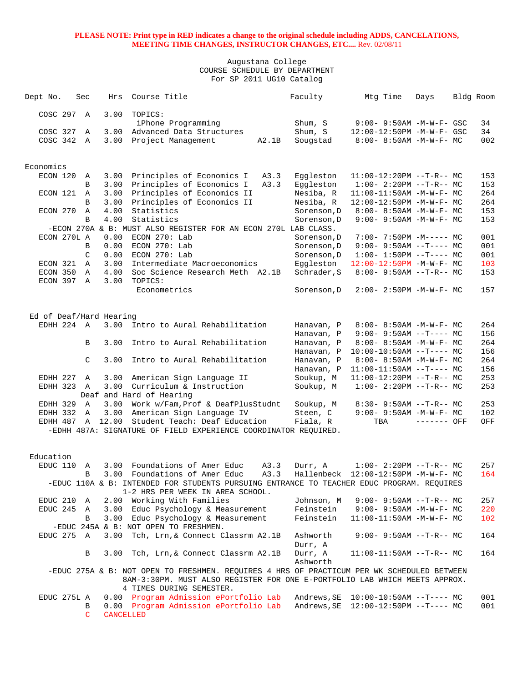| Dept No.                 | Sec |               | Hrs       | Course Title                                                                                                                                                             |       | Faculty                | Mtg Time                                             | Days        | Bldg Room |            |
|--------------------------|-----|---------------|-----------|--------------------------------------------------------------------------------------------------------------------------------------------------------------------------|-------|------------------------|------------------------------------------------------|-------------|-----------|------------|
| COSC 297 A               |     |               | 3.00      | TOPICS:                                                                                                                                                                  |       |                        |                                                      |             |           |            |
|                          |     |               |           | iPhone Programming                                                                                                                                                       |       | Shum, S                | 9:00- 9:50AM -M-W-F- GSC                             |             |           | 34         |
| COSC 327                 |     | Α             | 3.00      | Advanced Data Structures                                                                                                                                                 |       | Shum, S                | 12:00-12:50PM -M-W-F- GSC                            |             |           | 34         |
| COSC 342                 |     | A             | 3.00      | Project Management                                                                                                                                                       | A2.1B | Sougstad               | $8:00 - 8:50AM - M - W - F - MC$                     |             |           | 002        |
| Economics                |     |               |           |                                                                                                                                                                          |       |                        |                                                      |             |           |            |
| ECON 120                 |     | A             | 3.00      | Principles of Economics I                                                                                                                                                | A3.3  | Eggleston              | $11:00-12:20PM$ --T-R-- MC                           |             |           | 153        |
|                          |     | B             | 3.00      | Principles of Economics I                                                                                                                                                | A3.3  | Eqqleston              | $1:00-2:20PM -T-R--MC$                               |             |           | 153        |
| ECON 121                 |     | Α             | 3.00      | Principles of Economics II                                                                                                                                               |       | Nesiba, R              | $11:00-11:50AM -M-W-F-MC$                            |             |           | 264        |
|                          |     | B             | 3.00      | Principles of Economics II                                                                                                                                               |       | Nesiba, R              | 12:00-12:50PM -M-W-F- MC                             |             |           | 264        |
| ECON 270                 |     | Α             | 4.00      | Statistics                                                                                                                                                               |       | Sorenson, D            | $8:00 - 8:50AM - M - W - F - MC$                     |             |           | 153        |
|                          |     | B             | 4.00      | Statistics                                                                                                                                                               |       | Sorenson, D            | 9:00- 9:50AM -M-W-F- MC                              |             |           | 153        |
|                          |     |               |           | -ECON 270A & B: MUST ALSO REGISTER FOR AN ECON 270L LAB CLASS.                                                                                                           |       |                        |                                                      |             |           |            |
| ECON 270L A              |     |               | 0.00      | $ECON$ 270: Lab                                                                                                                                                          |       | Sorenson, D            | $7:00 - 7:50PM -M--- - M$                            |             |           | 001        |
|                          |     | B             | 0.00      | ECON 270: Lab                                                                                                                                                            |       | Sorenson, D            | $9:00 - 9:50AM -T--- MC$                             |             |           | 001        |
|                          |     | $\mathcal{C}$ | 0.00      | ECON 270: Lab                                                                                                                                                            |       | Sorenson, D            | $1:00-1:50PM --T--- MC$                              |             |           | 001        |
| ECON 321                 |     | A             | 3.00      | Intermediate Macroeconomics                                                                                                                                              |       | Eqqleston              | 12:00-12:50PM -M-W-F- MC                             |             |           | 103        |
| ECON 350                 |     | Α             | 4.00      | Soc Science Research Meth A2.1B                                                                                                                                          |       | Schrader, S            | $8:00 - 9:50AM -T-R-- MC$                            |             |           | 153        |
| ECON 397 A               |     |               | 3.00      | TOPICS:<br>Econometrics                                                                                                                                                  |       | Sorenson, D            | $2:00 - 2:50PM -M-W-F - MC$                          |             |           | 157        |
|                          |     |               |           |                                                                                                                                                                          |       |                        |                                                      |             |           |            |
| Ed of Deaf/Hard Hearing  |     |               |           |                                                                                                                                                                          |       |                        |                                                      |             |           |            |
| EDHH 224 A               |     |               | 3.00      | Intro to Aural Rehabilitation                                                                                                                                            |       | Hanavan, P             | $8:00 - 8:50AM - M - W - F - MC$                     |             |           | 264        |
|                          |     |               |           |                                                                                                                                                                          |       | Hanavan, P             | $9:00 - 9:50AM -T--- MC$                             |             |           | 156        |
|                          |     | B             | 3.00      | Intro to Aural Rehabilitation                                                                                                                                            |       | Hanavan, P             | $8:00 - 8:50AM - M - W - F - MC$                     |             |           | 264        |
|                          |     |               |           |                                                                                                                                                                          |       | Hanavan, P             | $10:00-10:50AM$ --T---- MC                           |             |           | 156        |
|                          |     | C             | 3.00      | Intro to Aural Rehabilitation                                                                                                                                            |       | Hanavan, P             | $8:00 - 8:50AM - M - W - F - MC$                     |             |           | 264        |
|                          |     |               |           |                                                                                                                                                                          |       | Hanavan, P             | $11:00-11:50AM$ --T---- MC                           |             |           | 156        |
| EDHH 227 A<br>EDHH 323 A |     |               | 3.00      | American Sign Language II<br>3.00 Curriculum & Instruction                                                                                                               |       | Soukup, M<br>Soukup, M | $11:00-12:20PM$ --T-R-- MC<br>$1:00-2:20PM -T-R--MC$ |             |           | 253<br>253 |
|                          |     |               |           | Deaf and Hard of Hearing                                                                                                                                                 |       |                        |                                                      |             |           |            |
| EDHH 329                 |     | A             |           | 3.00 Work w/Fam, Prof & DeafPlusStudnt                                                                                                                                   |       | Soukup, M              | $8:30 - 9:50AM -T-R--MC$                             |             |           | 253        |
| EDHH 332                 |     | $\mathbb A$   | 3.00      | American Sign Language IV                                                                                                                                                |       | Steen, C               | $9:00 - 9:50AM - M - W - F - MC$                     |             |           | 102        |
| EDHH 487 A               |     |               | 12.00     | Student Teach: Deaf Education                                                                                                                                            |       | Fiala, R               | TBA                                                  | ------- OFF |           | OFF        |
|                          |     |               |           | -EDHH 487A: SIGNATURE OF FIELD EXPERIENCE COORDINATOR REQUIRED.                                                                                                          |       |                        |                                                      |             |           |            |
| Education                |     |               |           |                                                                                                                                                                          |       |                        |                                                      |             |           |            |
| EDUC 110                 |     | Α             |           | 3.00 Foundations of Amer Educ                                                                                                                                            | A3.3  | Durr, A                | $1:00-2:20PM -T-R--MC$                               |             |           | 257        |
|                          |     | B             | 3.00      | Foundations of Amer Educ                                                                                                                                                 | A3.3  | Hallenbeck             | 12:00-12:50PM -M-W-F- MC                             |             |           | 164        |
|                          |     |               |           | -EDUC 110A & B: INTENDED FOR STUDENTS PURSUING ENTRANCE TO TEACHER EDUC PROGRAM. REQUIRES<br>1-2 HRS PER WEEK IN AREA SCHOOL.                                            |       |                        |                                                      |             |           |            |
| EDUC 210 A               |     |               |           | 2.00 Working With Families                                                                                                                                               |       | Johnson, M             | $9:00 - 9:50AM -T-R-- MC$                            |             |           | 257        |
| EDUC 245 A               |     |               | 3.00      | Educ Psychology & Measurement                                                                                                                                            |       | Feinstein              | $9:00 - 9:50AM - M - W - F - MC$                     |             |           | 220        |
|                          |     | B             | 3.00      | Educ Psychology & Measurement                                                                                                                                            |       | Feinstein              | $11:00-11:50AM$ -M-W-F- MC                           |             |           | 102        |
|                          |     |               |           | -EDUC 245A & B: NOT OPEN TO FRESHMEN.                                                                                                                                    |       |                        |                                                      |             |           |            |
| EDUC 275 A               |     |               | 3.00      | Tch, Lrn, & Connect Classrm A2.1B                                                                                                                                        |       | Ashworth<br>Durr, A    | $9:00 - 9:50AM -T-R-- MC$                            |             |           | 164        |
|                          |     | В             | 3.00      | Tch, Lrn, & Connect Classrm A2.1B                                                                                                                                        |       | Durr, A<br>Ashworth    | $11:00-11:50AM$ --T-R-- MC                           |             |           | 164        |
|                          |     |               |           | -EDUC 275A & B: NOT OPEN TO FRESHMEN. REQUIRES 4 HRS OF PRACTICUM PER WK SCHEDULED BETWEEN<br>8AM-3:30PM. MUST ALSO REGISTER FOR ONE E-PORTFOLIO LAB WHICH MEETS APPROX. |       |                        |                                                      |             |           |            |
|                          |     |               |           | 4 TIMES DURING SEMESTER.<br>0.00 Program Admission ePortfolio Lab                                                                                                        |       | Andrews, SE            | $10:00-10:50AM$ --T---- MC                           |             |           | 001        |
| EDUC 275L A              |     | В             |           | 0.00 Program Admission ePortfolio Lab                                                                                                                                    |       | Andrews, SE            | $12:00-12:50PM$ --T---- MC                           |             |           | 001        |
|                          |     | $\mathsf{C}$  | CANCELLED |                                                                                                                                                                          |       |                        |                                                      |             |           |            |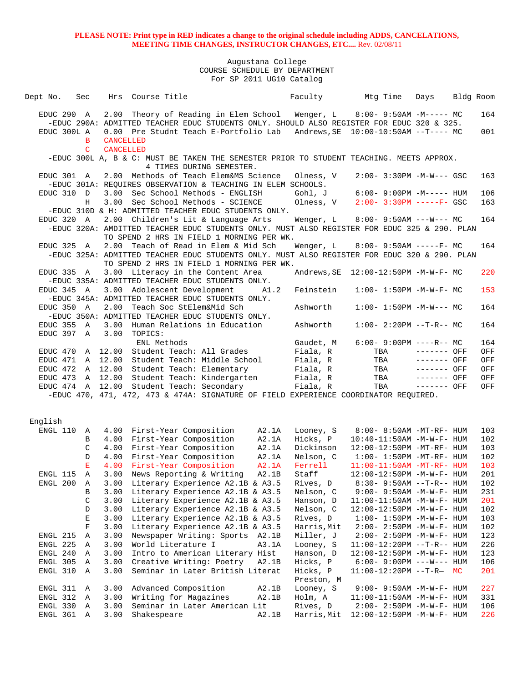| Dept No.                 | Sec                |                                      | Hrs Course Title                                                                                                                          |                | Faculty                 | Mtg Time                                                       | Days         | Bldg Room |            |
|--------------------------|--------------------|--------------------------------------|-------------------------------------------------------------------------------------------------------------------------------------------|----------------|-------------------------|----------------------------------------------------------------|--------------|-----------|------------|
| EDUC 290 A               |                    |                                      | 2.00 Theory of Reading in Elem School                                                                                                     |                | Wenger, L               | $8:00-9:50AM -M---MC$                                          |              |           | 164        |
|                          |                    |                                      | -EDUC 290A: ADMITTED TEACHER EDUC STUDENTS ONLY. SHOULD ALSO REGISTER FOR EDUC 320 & 325.                                                 |                |                         |                                                                |              |           |            |
| EDUC 300L A              |                    |                                      | 0.00 Pre Studnt Teach E-Portfolio Lab                                                                                                     |                |                         | Andrews, SE   10:00-10:50AM --T---- MC                         |              |           | 001        |
|                          | B<br>$\mathcal{C}$ | <b>CANCELLED</b><br><b>CANCELLED</b> |                                                                                                                                           |                |                         |                                                                |              |           |            |
|                          |                    |                                      | -EDUC 300L A, B & C: MUST BE TAKEN THE SEMESTER PRIOR TO STUDENT TEACHING. MEETS APPROX.                                                  |                |                         |                                                                |              |           |            |
|                          |                    |                                      | 4 TIMES DURING SEMESTER.                                                                                                                  |                |                         |                                                                |              |           |            |
| EDUC 301 A               |                    |                                      | 2.00 Methods of Teach Elem&MS Science                                                                                                     |                | Olness, V               | $2:00 - 3:30PM -M-W--- GSC$                                    |              |           | 163        |
| EDUC 310 D               |                    |                                      | -EDUC 301A: REOUIRES OBSERVATION & TEACHING IN ELEM SCHOOLS.<br>3.00 Sec School Methods - ENGLISH                                         |                | Gohl, J                 |                                                                |              |           | 106        |
|                          | Н                  |                                      | 3.00 Sec School Methods - SCIENCE                                                                                                         |                | Olness, V               | $6:00 - 9:00PM -M-----$ HUM<br>$2:00 - 3:30PM$ -----F- GSC     |              |           | 163        |
|                          |                    |                                      | -EDUC 310D & H: ADMITTED TEACHER EDUC STUDENTS ONLY.                                                                                      |                |                         |                                                                |              |           |            |
| EDUC 320 A               |                    |                                      | 2.00 Children's Lit & Language Arts                                                                                                       |                | Wenger, L               | $8:00 - 9:50AM$ ---W--- MC                                     |              |           | 164        |
|                          |                    |                                      | -EDUC 320A: AMDITTED TEACHER EDUC STUDENTS ONLY. MUST ALSO REGISTER FOR EDUC 325 & 290. PLAN                                              |                |                         |                                                                |              |           |            |
|                          |                    |                                      | TO SPEND 2 HRS IN FIELD 1 MORNING PER WK.                                                                                                 |                |                         |                                                                |              |           |            |
| EDUC 325 A               |                    | 2.00                                 | Teach of Read in Elem & Mid Sch                                                                                                           |                | Wenger, L               | $8:00-9:50AM$ -----F- MC                                       |              |           | 164        |
|                          |                    |                                      | -EDUC 325A: ADMITTED TEACHER EDUC STUDENTS ONLY. MUST ALSO REGISTER FOR EDUC 320 & 290. PLAN<br>TO SPEND 2 HRS IN FIELD 1 MORNING PER WK. |                |                         |                                                                |              |           |            |
| EDUC 335 A               |                    |                                      | 3.00 Literacy in the Content Area                                                                                                         |                |                         |                                                                |              |           | 220        |
|                          |                    |                                      | -EDUC 335A: ADMITTED TEACHER EDUC STUDENTS ONLY.                                                                                          |                |                         |                                                                |              |           |            |
| EDUC 345 A               |                    |                                      | 3.00 Adolescent Development                                                                                                               | A1.2           | Feinstein               | $1:00 - 1:50PM - M - W - F - MC$                               |              |           | 153        |
|                          |                    |                                      | -EDUC 345A: ADMITTED TEACHER EDUC STUDENTS ONLY.                                                                                          |                |                         |                                                                |              |           |            |
| EDUC 350 A               |                    | 2.00                                 | Teach Soc StElem&Mid Sch                                                                                                                  |                | Ashworth                | $1:00 - 1:50PM -M-W--- MC$                                     |              |           | 164        |
|                          |                    |                                      | -EDUC 350A: ADMITTED TEACHER EDUC STUDENTS ONLY.                                                                                          |                |                         |                                                                |              |           |            |
| EDUC 355 A<br>EDUC 397 A |                    | 3.00<br>3.00                         | Human Relations in Education<br>TOPICS:                                                                                                   |                | Ashworth                | $1:00-2:20PM -T-R--MC$                                         |              |           | 164        |
|                          |                    |                                      | ENL Methods                                                                                                                               |                | Gaudet, M               | $6:00 - 9:00PM$ ----R-- MC                                     |              |           | 164        |
| EDUC 470                 |                    |                                      | A 12.00 Student Teach: All Grades                                                                                                         |                | Fiala, R                | TBA                                                            | $------$ OFF |           | OFF        |
| EDUC 471 A               |                    | 12.00                                | Student Teach: Middle School                                                                                                              |                | Fiala, R                | TBA                                                            | ------- OFF  |           | OFF        |
| EDUC 472 A 12.00         |                    |                                      | Student Teach: Elementary                                                                                                                 |                | Fiala, R                | TBA                                                            | $------$ OFF |           | OFF        |
| EDUC 473                 | $\mathbf{A}$       | 12.00                                | Student Teach: Kindergarten                                                                                                               |                | Fiala, R                | TBA                                                            | $------$ OFF |           | OFF        |
| EDUC 474 A 12.00         |                    |                                      | Student Teach: Secondary                                                                                                                  |                | Fiala, R                | TBA                                                            | ------- OFF  |           | OFF        |
|                          |                    |                                      | -EDUC 470, 471, 472, 473 & 474A: SIGNATURE OF FIELD EXPERIENCE COORDINATOR REQUIRED.                                                      |                |                         |                                                                |              |           |            |
|                          |                    |                                      |                                                                                                                                           |                |                         |                                                                |              |           |            |
| English                  |                    |                                      |                                                                                                                                           |                |                         |                                                                |              |           |            |
| ENGL 110                 | A                  |                                      | 4.00 First-Year Composition                                                                                                               | A2.1A          | Looney, S               | 8:00- 8:50AM -MT-RF- HUM                                       |              |           | 103        |
|                          | B<br>C             |                                      | 4.00 First-Year Composition<br>4.00 First-Year Composition                                                                                | A2.1A<br>A2.1A | Hicks, P<br>Dickinson   | $10:40 - 11:50AM$ -M-W-F- HUM<br>12:00-12:50PM -MT-RF- HUM     |              |           | 102<br>103 |
|                          | D                  |                                      | 4.00 First-Year Composition                                                                                                               | A2.1A          | Nelson, C               | $1:00-1:50PM -MT-RF-HUM$                                       |              |           | 102        |
|                          | $\mathbf{E}$       |                                      | 4.00 First-Year Composition                                                                                                               | A2.1A          | Ferrell                 | $11:00-11:50AM$ -MT-RF- HUM                                    |              |           | 103        |
| ENGL 115 A               |                    |                                      | 3.00 News Reporting & Writing                                                                                                             | A2.1B          | Staff                   | 12:00-12:50PM -M-W-F- HUM                                      |              |           | 201        |
| ENGL 200                 | A                  |                                      | 3.00 Literary Experience A2.1B & A3.5                                                                                                     |                | Rives, D                | $8:30 - 9:50AM -T-R-- HUM$                                     |              |           | 102        |
|                          | В                  |                                      | 3.00 Literary Experience A2.1B & A3.5                                                                                                     |                | Nelson, C               | 9:00- 9:50AM -M-W-F- HUM                                       |              |           | 231        |
|                          | C                  | 3.00                                 | Literary Experience A2.1B & A3.5                                                                                                          |                | Hanson, D               | 11:00-11:50AM -M-W-F- HUM                                      |              |           | 201        |
|                          | D<br>Ε             | 3.00<br>3.00                         | Literary Experience A2.1B & A3.5<br>Literary Experience A2.1B & A3.5                                                                      |                | Nelson, C<br>Rives, D   | 12:00-12:50PM -M-W-F- HUM<br>$1:00 - 1:50PM - M - W - F - HUM$ |              |           | 102<br>103 |
|                          | $\mathbf F$        | 3.00                                 | Literary Experience A2.1B & A3.5                                                                                                          |                | Harris, Mit             | 2:00- 2:50PM -M-W-F- HUM                                       |              |           | 102        |
| ENGL 215                 | Α                  | 3.00                                 | Newspaper Writing: Sports A2.1B                                                                                                           |                | Miller, J               | 2:00- 2:50PM -M-W-F- HUM                                       |              |           | 123        |
| ENGL 225                 | Α                  | 3.00                                 | World Literature I                                                                                                                        | A3.1A          | Looney, S               | $11:00-12:20PM --T-R--HUM$                                     |              |           | 226        |
| ENGL 240                 | Α                  | 3.00                                 | Intro to American Literary Hist                                                                                                           |                | Hanson, D               | 12:00-12:50PM -M-W-F- HUM                                      |              |           | 123        |
| ENGL 305                 | Α                  | 3.00                                 | Creative Writing: Poetry A2.1B                                                                                                            |                | Hicks, P                | $6:00 - 9:00PM$ ---W--- HUM                                    |              |           | 106        |
| ENGL 310                 | Α                  | 3.00                                 | Seminar in Later British Literat                                                                                                          |                | Hicks, P                | $11:00-12:20PM -T-R- MC$                                       |              |           | 201        |
| ENGL 311                 | Α                  | 3.00                                 | Advanced Composition                                                                                                                      | A2.1B          | Preston, M<br>Looney, S | $9:00 - 9:50$ AM $-M-W-F-$ HUM                                 |              |           | 227        |
| ENGL 312                 | Α                  | 3.00                                 | Writing for Magazines                                                                                                                     | A2.1B          | Holm, A                 | 11:00-11:50AM -M-W-F- HUM                                      |              |           | 331        |
| ENGL 330                 | A                  | 3.00                                 | Seminar in Later American Lit                                                                                                             |                | Rives, D                | 2:00- 2:50PM -M-W-F- HUM                                       |              |           | 106        |
| ENGL 361                 | Α                  | 3.00                                 | Shakespeare                                                                                                                               | A2.1B          | Harris, Mit             | 12:00-12:50PM -M-W-F- HUM                                      |              |           | 226        |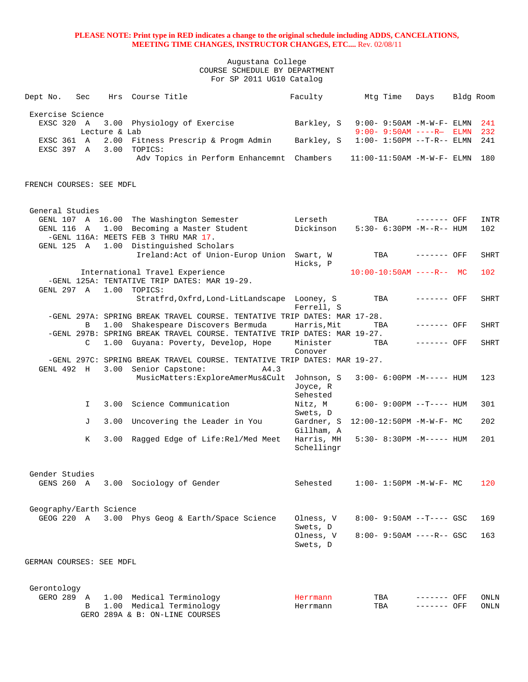Augustana College COURSE SCHEDULE BY DEPARTMENT For SP 2011 UG10 Catalog

| Dept No.                              | Sec |               | Hrs Course Title                                                                                               | Faculty                  | Mtg Time                           | Days         | Bldg Room |             |
|---------------------------------------|-----|---------------|----------------------------------------------------------------------------------------------------------------|--------------------------|------------------------------------|--------------|-----------|-------------|
| Exercise Science                      |     |               |                                                                                                                |                          |                                    |              |           |             |
| EXSC 320 A                            |     |               | 3.00 Physiology of Exercise                                                                                    | Barkley, S               | $9:00 - 9:50AM - M - W - F - ELMN$ |              |           | 241         |
|                                       |     | Lecture & Lab |                                                                                                                |                          | $9:00 - 9:50AM$ ----R- ELMN        |              |           | 232         |
| EXSC 361 A<br>EXSC 397 A              |     |               | 2.00 Fitness Prescrip & Progm Admin<br>3.00 TOPICS:                                                            | Barkley, S               | $1:00 - 1:50PM -T-R-- ELMN$        |              |           | 241         |
|                                       |     |               | Adv Topics in Perform Enhancemnt Chambers                                                                      |                          | $11:00-11:50$ AM $-M-W-F-$ ELMN    |              |           | 180         |
|                                       |     |               |                                                                                                                |                          |                                    |              |           |             |
| FRENCH COURSES: SEE MDFL              |     |               |                                                                                                                |                          |                                    |              |           |             |
|                                       |     |               |                                                                                                                |                          |                                    |              |           |             |
| General Studies                       |     |               |                                                                                                                |                          |                                    |              |           |             |
| GENL 116 A                            |     |               | GENL 107 A 16.00 The Washington Semester<br>1.00 Becoming a Master Student                                     | Lerseth<br>Dickinson     | TBA<br>5:30- 6:30PM -M--R-- HUM    | ------- OFF  |           | INTR<br>102 |
|                                       |     |               | -GENL 116A: MEETS FEB 3 THRU MAR 17.                                                                           |                          |                                    |              |           |             |
| GENL 125 A                            |     |               | 1.00 Distinguished Scholars                                                                                    |                          |                                    |              |           |             |
|                                       |     |               | Ireland: Act of Union-Europ Union Swart, W                                                                     | Hicks, P                 | TBA                                | ------- OFF  |           | <b>SHRT</b> |
|                                       |     |               | International Travel Experience                                                                                |                          | $10:00-10:50AM$ ----R-- MC         |              |           | 102         |
|                                       |     |               | -GENL 125A: TENTATIVE TRIP DATES: MAR 19-29.                                                                   |                          |                                    |              |           |             |
| GENL 297 A                            |     |               | $1.00$ TOPICS:<br>Stratfrd, Oxfrd, Lond-LitLandscape Looney, S                                                 |                          | TBA                                | $------$ OFF |           | SHRT        |
|                                       |     |               |                                                                                                                | Ferrell, S               |                                    |              |           |             |
|                                       |     |               | -GENL 297A: SPRING BREAK TRAVEL COURSE. TENTATIVE TRIP DATES: MAR 17-28.                                       |                          |                                    |              |           |             |
|                                       | B   |               | 1.00 Shakespeare Discovers Bermuda<br>-GENL 297B: SPRING BREAK TRAVEL COURSE. TENTATIVE TRIP DATES: MAR 19-27. | Harris, Mit              | TBA                                | ------- OFF  |           | <b>SHRT</b> |
|                                       | C   |               | 1.00 Guyana: Poverty, Develop, Hope                                                                            | Minister                 | TBA                                | $------$ OFF |           | <b>SHRT</b> |
|                                       |     |               | -GENL 297C: SPRING BREAK TRAVEL COURSE. TENTATIVE TRIP DATES: MAR 19-27.                                       | Conover                  |                                    |              |           |             |
| GENL 492 H                            |     |               | 3.00 Senior Capstone:<br>A4.3                                                                                  |                          |                                    |              |           |             |
|                                       |     |               | MusicMatters: ExploreAmerMus&Cult                                                                              | Johnson, S               | $3:00-6:00PM -M-----$ HUM          |              |           | 123         |
|                                       |     |               |                                                                                                                | Joyce, R<br>Sehested     |                                    |              |           |             |
|                                       | I.  |               | 3.00 Science Communication                                                                                     | Nitz, M                  | $6:00-9:00PM -T--- HUM$            |              |           | 301         |
|                                       |     |               |                                                                                                                | Swets, D                 |                                    |              |           |             |
|                                       | J   |               | 3.00 Uncovering the Leader in You                                                                              | Gardner, S<br>Gillham, A | $12:00-12:50PM -M-W-F-MC$          |              |           | 202         |
|                                       | K   |               | 3.00 Ragged Edge of Life: Rel/Med Meet                                                                         | Harris, MH               | 5:30- 8:30PM -M----- HUM           |              |           | 201         |
|                                       |     |               |                                                                                                                | Schellingr               |                                    |              |           |             |
|                                       |     |               |                                                                                                                |                          |                                    |              |           |             |
| Gender Studies<br>GENS 260 A          |     |               | 3.00 Sociology of Gender                                                                                       | Sehested                 | $1:00 - 1:50PM - M - W - F - MC$   |              |           | 120         |
|                                       |     |               |                                                                                                                |                          |                                    |              |           |             |
|                                       |     |               |                                                                                                                |                          |                                    |              |           |             |
| Geography/Earth Science<br>GEOG 220 A |     |               | 3.00 Phys Geog & Earth/Space Science                                                                           | Olness, V                | $8:00 - 9:50AM -T---$ GSC          |              |           | 169         |
|                                       |     |               |                                                                                                                | Swets, D                 |                                    |              |           |             |
|                                       |     |               |                                                                                                                | Olness, V                | $8:00 - 9:50AM$ ----R-- GSC        |              |           | 163         |
|                                       |     |               |                                                                                                                | Swets, D                 |                                    |              |           |             |
| GERMAN COURSES: SEE MDFL              |     |               |                                                                                                                |                          |                                    |              |           |             |
|                                       |     |               |                                                                                                                |                          |                                    |              |           |             |
| Gerontology                           |     |               |                                                                                                                |                          |                                    |              |           |             |
| GERO 289 A                            |     |               | 1.00 Medical Terminology                                                                                       | Herrmann                 | TBA                                | ------- OFF  |           | ONLN        |
|                                       | B   |               | 1.00 Medical Terminology                                                                                       | Herrmann                 | TBA                                | ------- OFF  |           | ONLN        |

GERO 289A & B: ON-LINE COURSES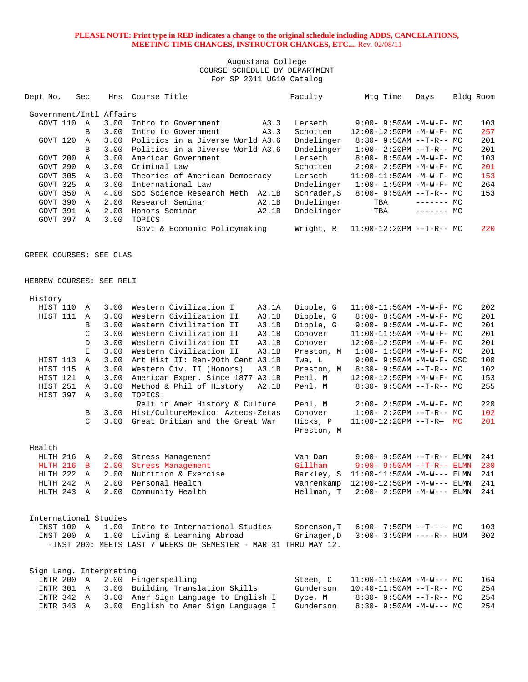| Dept No.                 | Sec          |      | Hrs Course Title                 |       | Faculty     | Mtg Time                         | Days        | Bldg Room |
|--------------------------|--------------|------|----------------------------------|-------|-------------|----------------------------------|-------------|-----------|
| Government/Intl Affairs  |              |      |                                  |       |             |                                  |             |           |
| GOVT 110                 | $\mathbb{A}$ | 3.00 | Intro to Government              | A3.3  | Lerseth     | $9:00 - 9:50AM - M - W - F - MC$ |             | 103       |
|                          | В            | 3.00 | Intro to Government              | A3.3  | Schotten    | 12:00-12:50PM -M-W-F- MC         |             | 257       |
| GOVT 120                 | $\mathbb{A}$ | 3.00 | Politics in a Diverse World A3.6 |       | Dndelinger  | $8:30 - 9:50AM -T-R--MC$         |             | 201       |
|                          | B            | 3.00 | Politics in a Diverse World A3.6 |       | Dndelinger  | $1:00 - 2:20PM -T-R-- MC$        |             | 201       |
| GOVT 200                 | $\mathbb{A}$ | 3.00 | American Government              |       | Lerseth     | $8:00 - 8:50AM - M - W - F - MC$ |             | 103       |
| GOVT 290                 | $\mathbb A$  | 3.00 | Criminal Law                     |       | Schotten    | $2:00 - 2:50PM -M-W-F - MC$      |             | 201       |
| GOVT 305                 | $\mathbb{A}$ | 3.00 | Theories of American Democracy   |       | Lerseth     | $11:00-11:50AM$ -M-W-F- MC       |             | 153       |
| GOVT 325                 | $\mathbb{A}$ | 3.00 | International Law                |       | Dndelinger  | $1:00 - 1:50PM - M - W - F - MC$ |             | 264       |
| GOVT 350                 | $\mathbb{A}$ | 4.00 | Soc Science Research Meth A2.1B  |       | Schrader, S | $8:00 - 9:50AM -T-R-- MC$        |             | 153       |
| GOVT 390                 | $\mathbb A$  | 2.00 | Research Seminar                 | A2.1B | Dndelinger  | TBA                              | $------$ MC |           |
| GOVT 391                 | $\mathbb A$  | 2.00 | Honors Seminar                   | A2.1B | Dndelinger  | TBA                              | $------$ MC |           |
| GOVT 397                 | $\mathbb A$  | 3.00 | TOPICS:                          |       |             |                                  |             |           |
|                          |              |      | Govt & Economic Policymaking     |       | Wright, R   | $11:00-12:20PM --T-R--MC$        |             | 220       |
|                          |              |      |                                  |       |             |                                  |             |           |
| GREEK COURSES: SEE CLAS  |              |      |                                  |       |             |                                  |             |           |
|                          |              |      |                                  |       |             |                                  |             |           |
|                          |              |      |                                  |       |             |                                  |             |           |
| HEBREW COURSES: SEE RELI |              |      |                                  |       |             |                                  |             |           |
| History                  |              |      |                                  |       |             |                                  |             |           |

| HIST 110                | A              | 3.00 | Western Civilization I                                          | A3.1A | Dipple, G   | 11:00-11:50AM -M-W-F- MC          | 202 |
|-------------------------|----------------|------|-----------------------------------------------------------------|-------|-------------|-----------------------------------|-----|
| HIST 111                | $\mathbb{A}$   | 3.00 | Western Civilization II                                         | A3.1B | Dipple, G   | 8:00- 8:50AM -M-W-F- MC           | 201 |
|                         | B              | 3.00 | Western Civilization II                                         | A3.1B | Dipple, G   | $9:00 - 9:50AM - M - W - F - MC$  | 201 |
|                         | C              | 3.00 | Western Civilization II                                         | A3.1B | Conover     | $11:00-11:50AM$ $-M-W-F-$ MC      | 201 |
|                         | D              | 3.00 | Western Civilization II                                         | A3.1B | Conover     | 12:00-12:50PM -M-W-F- MC          | 201 |
|                         | E.             | 3.00 | Western Civilization II                                         | A3.1B | Preston, M  | $1:00 - 1:50PM -M-W-F-MC$         | 201 |
| HIST 113                | $\mathbb{A}$   | 3.00 | Art Hist II: Ren-20th Cent A3.1B                                |       | Twa, L      | $9:00 - 9:50AM - M - W - F - GSC$ | 100 |
| HIST 115                | $\mathbb{A}$   | 3.00 | Western Civ. II (Honors)                                        | A3.1B | Preston, M  | $8:30 - 9:50AM -T-R--MC$          | 102 |
| HIST 121                | A              | 3.00 | American Exper. Since 1877 A3.1B                                |       | Pehl, M     | 12:00-12:50PM -M-W-F- MC          | 153 |
| HIST 251                | $\overline{A}$ | 3.00 | Method & Phil of History                                        | A2.1B | Pehl, M     | $8:30 - 9:50AM -T-R-- MC$         | 255 |
| HIST 397                | $\mathbb{A}$   | 3.00 | TOPICS:                                                         |       |             |                                   |     |
|                         |                |      | Reli in Amer History & Culture                                  |       | Pehl, M     | $2:00 - 2:50PM -M-W-F - MC$       | 220 |
|                         | $\mathbf{B}$   | 3.00 | Hist/CultureMexico: Aztecs-Zetas                                |       | Conover     | $1:00 - 2:20PM -T-R--MC$          | 102 |
|                         | $\mathcal{C}$  | 3.00 | Great Britian and the Great War                                 |       | Hicks, P    | $11:00-12:20PM --T-R- MC$         | 201 |
|                         |                |      |                                                                 |       | Preston, M  |                                   |     |
|                         |                |      |                                                                 |       |             |                                   |     |
| Health                  |                |      |                                                                 |       |             |                                   |     |
| HLTH 216                | A              | 2.00 | Stress Management                                               |       | Van Dam     | $9:00 - 9:50AM -T-R--ELMN$        | 241 |
| HLTH 216                | $\mathbf{B}$   | 2.00 | Stress Management                                               |       | Gillham     | $9:00 - 9:50AM -T-R--ELMN$        | 230 |
| HLTH 222                | A              | 2.00 | Nutrition & Exercise                                            |       | Barkley, S  | $11:00-11:50AM -M-W---$ ELMN      | 241 |
| HLTH 242                | $\mathbb{A}$   | 2.00 | Personal Health                                                 |       | Vahrenkamp  | $12:00-12:50PM -M-W---$ ELMN      | 241 |
| HLTH 243                | A              | 2.00 | Community Health                                                |       | Hellman, T  | $2:00 - 2:50PM -M-W---$ ELMN      | 241 |
|                         |                |      |                                                                 |       |             |                                   |     |
|                         |                |      |                                                                 |       |             |                                   |     |
| International Studies   |                |      |                                                                 |       |             |                                   |     |
| INST 100 A              |                | 1.00 | Intro to International Studies                                  |       | Sorenson, T | $6:00-7:50PM -T--- MC$            | 103 |
| INST 200 A              |                | 1.00 | Living & Learning Abroad                                        |       | Grinager, D | $3:00 - 3:50PM$ ----R-- HUM       | 302 |
|                         |                |      | -INST 200: MEETS LAST 7 WEEKS OF SEMESTER - MAR 31 THRU MAY 12. |       |             |                                   |     |
|                         |                |      |                                                                 |       |             |                                   |     |
| Sign Lang. Interpreting |                |      |                                                                 |       |             |                                   |     |
| INTR 200                | $\overline{A}$ |      | 2.00 Fingerspelling                                             |       | Steen, C    | $11:00-11:50AM$ -M-W--- MC        | 164 |
| INTR 301                | A              | 3.00 | Building Translation Skills                                     |       | Gunderson   | $10:40-11:50AM$ --T-R-- MC        | 254 |
| INTR 342                | A              | 3.00 | Amer Sign Language to English I                                 |       | Dyce, M     | $8:30 - 9:50AM -T-R--MC$          | 254 |
| INTR 343                | A              | 3.00 | English to Amer Sign Language I                                 |       | Gunderson   | $8:30 - 9:50AM - M-W--- MC$       | 254 |
|                         |                |      |                                                                 |       |             |                                   |     |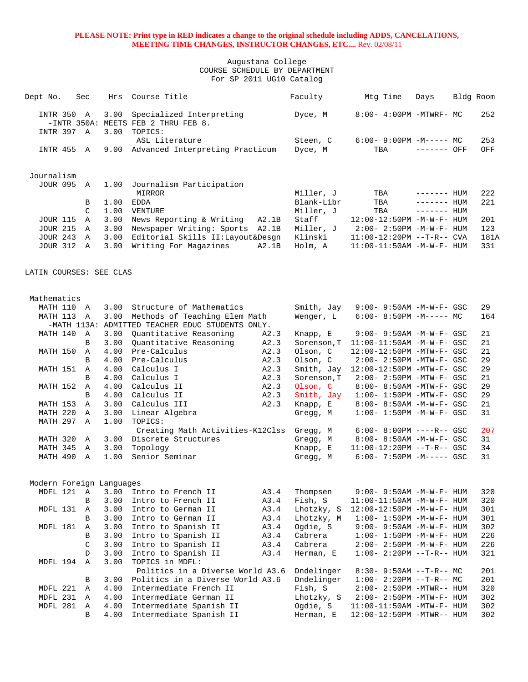| Dept No.                           | Sec               | Hrs          | Course Title                                                               |       | Faculty            | Mtg Time                                                 | Days         | Bldg Room |             |
|------------------------------------|-------------------|--------------|----------------------------------------------------------------------------|-------|--------------------|----------------------------------------------------------|--------------|-----------|-------------|
| INTR 350<br>INTR 397 A             | A                 | 3.00<br>3.00 | Specialized Interpreting<br>-INTR 350A: MEETS FEB 2 THRU FEB 8.<br>TOPICS: |       | Dyce, M            | 8:00- 4:00PM -MTWRF- MC                                  |              |           | 252         |
|                                    |                   |              | ASL Literature                                                             |       | Steen, C           | $6:00-9:00PM -M--- - M$                                  |              |           | 253         |
| INTR 455 A                         |                   | 9.00         | Advanced Interpreting Practicum                                            |       | Dyce, M            | TBA                                                      | ------- OFF  |           | OFF         |
| Journalism                         |                   |              |                                                                            |       |                    |                                                          |              |           |             |
| <b>JOUR 095 A</b>                  |                   | 1.00         | Journalism Participation<br>MIRROR                                         |       | Miller, J          | TBA                                                      | $------$ HUM |           | 222         |
|                                    | B                 | 1.00         | EDDA                                                                       |       | Blank-Libr         | TBA                                                      | ------- HUM  |           | 221         |
|                                    | C                 | 1.00         | VENTURE                                                                    |       | Miller, J          | TBA                                                      | ------- HUM  |           |             |
| <b>JOUR 115</b>                    | Α                 | 3.00         | News Reporting & Writing                                                   | A2.1B | Staff              | 12:00-12:50PM -M-W-F- HUM                                |              |           | 201         |
| <b>JOUR 215</b>                    | $\mathbb{A}$      | 3.00         | Newspaper Writing: Sports A2.1B                                            |       | Miller, J          | $2:00 - 2:50PM -M-W-F - HUM$                             |              |           | 123         |
| <b>JOUR 243</b><br><b>JOUR 312</b> | $\mathbb{A}$<br>A | 3.00<br>3.00 | Editorial Skills II: Layout& Desgn<br>Writing For Magazines                | A2.1B | Klinski<br>Holm, A | $11:00-12:20PM -T-R--CVA$<br>$11:00-11:50AM$ -M-W-F- HUM |              |           | 181A<br>331 |
|                                    |                   |              |                                                                            |       |                    |                                                          |              |           |             |
| LATIN COURSES: SEE CLAS            |                   |              |                                                                            |       |                    |                                                          |              |           |             |
| Mathematics                        |                   |              |                                                                            |       |                    |                                                          |              |           |             |
| MATH 110                           | A                 | 3.00         | Structure of Mathematics                                                   |       | Smith, Jay         | 9:00- 9:50AM -M-W-F- GSC                                 |              |           | 29          |
| MATH 113                           | A                 | 3.00         | Methods of Teaching Elem Math                                              |       | Wenger, L          | $6:00-8:50PM -M----- MC$                                 |              |           | 164         |
|                                    |                   |              | -MATH 113A: ADMITTED TEACHER EDUC STUDENTS ONLY.                           |       |                    |                                                          |              |           |             |
| MATH 140                           | A                 | 3.00         | Quantitative Reasoning                                                     | A2.3  | Knapp, E           | $9:00 - 9:50AM - M - W - F - GSC$                        |              |           | 21          |
|                                    | B                 | 3.00         | Quantitative Reasoning                                                     | A2.3  | Sorenson, T        | $11:00-11:50AM$ -M-W-F- GSC                              |              |           | 21          |
| MATH 150                           | Α                 | 4.00         | Pre-Calculus                                                               | A2.3  | Olson, C           | 12:00-12:50PM -MTW-F- GSC                                |              |           | 21          |
|                                    | B                 | 4.00         | Pre-Calculus                                                               | A2.3  | Olson, C           | $2:00-2:50PM -MTW-F-GSC$                                 |              |           | 29          |
| MATH 151                           | Α                 | 4.00         | Calculus I                                                                 | A2.3  | Smith, Jay         | 12:00-12:50PM -MTW-F- GSC                                |              |           | 29          |
|                                    | B                 | 4.00         | Calculus I                                                                 | A2.3  | Sorenson, T        | 2:00- 2:50PM -MTW-F- GSC                                 |              |           | 21          |
| MATH 152                           | A                 | 4.00         | Calculus II                                                                | A2.3  | Olson, C           | 8:00- 8:50AM -MTW-F- GSC                                 |              |           | 29          |
|                                    | B                 | 4.00         | Calculus II                                                                | A2.3  | Smith, Jay         | $1:00-1:50PM - MTW-F-GSC$                                |              |           | 29          |
| MATH 153                           | Α                 | 3.00         | Calculus III                                                               | A2.3  | Knapp, E           | 8:00- 8:50AM -M-W-F- GSC                                 |              |           | 21          |
| MATH 220<br>MATH 297               | Α<br>$\mathbb{A}$ | 3.00<br>1.00 | Linear Algebra<br>TOPICS:                                                  |       | Gregg, M           | $1:00 - 1:50PM - M - W - F - GSC$                        |              |           | 31          |
|                                    |                   |              | Creating Math Activities-K12Clss                                           |       | Gregg, M           | $6:00 - 8:00PM$ ----R-- GSC                              |              |           | 207         |
| MATH 320                           | Α                 | 3.00         | Discrete Structures                                                        |       | Gregg, M           | $8:00 - 8:50AM - M - W - F - GSC$                        |              |           | 31          |
| MATH 345                           | Α                 | 3.00         | Topology                                                                   |       | Knapp, E           | $11:00-12:20PM$ --T-R-- GSC                              |              |           | 34          |
| MATH 490                           | $\mathbb A$       | 1.00         | Senior Seminar                                                             |       | Gregg, M           | $6:00 - 7:50PM -M--- GSC$                                |              |           | 31          |
| Modern Foreign Languages           |                   |              |                                                                            |       |                    |                                                          |              |           |             |
| MDFL 121 A                         |                   | 3.00         | Intro to French II                                                         | A3.4  | Thompsen           | $9:00 - 9:50$ AM $-M-W-F-$ HUM                           |              |           | 320         |
|                                    | B                 | 3.00         | Intro to French II                                                         | A3.4  | Fish, S            | $11:00-11:50AM$ -M-W-F- HUM                              |              |           | 320         |
| MDFL 131                           | Α                 | 3.00         | Intro to German II                                                         | A3.4  | Lhotzky, S         | 12:00-12:50PM -M-W-F- HUM                                |              |           | 301         |
|                                    | B                 | 3.00         | Intro to German II                                                         | A3.4  | Lhotzky, M         | $1:00 - 1:50PM -M -W -F - HUM$                           |              |           | 301         |
| MDFL 181                           | Α                 | 3.00         | Intro to Spanish II                                                        | A3.4  | Ogdie, S           | 9:00- 9:50AM -M-W-F- HUM                                 |              |           | 302         |
|                                    | B                 | 3.00         | Intro to Spanish II                                                        | A3.4  | Cabrera            | $1:00 - 1:50PM - M - W - F - HUM$                        |              |           | 226         |
|                                    | C                 | 3.00         | Intro to Spanish II                                                        | A3.4  | Cabrera            | $2:00-2:50PM -M-W-F-HUM$                                 |              |           | 226         |
|                                    | D                 | 3.00         | Intro to Spanish II                                                        | A3.4  | Herman, E          | $1:00 - 2:20PM -T-R-- HUM$                               |              |           | 321         |
| MDFL 194                           | $\mathbb{A}$      | 3.00         | TOPICS in MDFL:<br>Politics in a Diverse World A3.6                        |       | Dndelinger         | $8:30 - 9:50AM -T-R-- MC$                                |              |           | 201         |
|                                    | B                 | 3.00         | Politics in a Diverse World A3.6                                           |       | Dndelinger         | $1:00-2:20PM -T-R--MC$                                   |              |           | 201         |
| MDFL 221                           | Α                 | 4.00         | Intermediate French II                                                     |       | Fish, S            | $2:00-2:50PM -MTWR--HUM$                                 |              |           | 320         |
| MDFL 231                           | Α                 | 4.00         | Intermediate German II                                                     |       | Lhotzky, S         | $2:00-2:50PM -MTW-F-HUM$                                 |              |           | 302         |
| MDFL 281                           | A                 | 4.00         | Intermediate Spanish II                                                    |       | Ogdie, S           | 11:00-11:50AM -MTW-F- HUM                                |              |           | 302         |
|                                    | B                 | 4.00         | Intermediate Spanish II                                                    |       | Herman, E          | 12:00-12:50PM -MTWR-- HUM                                |              |           | 302         |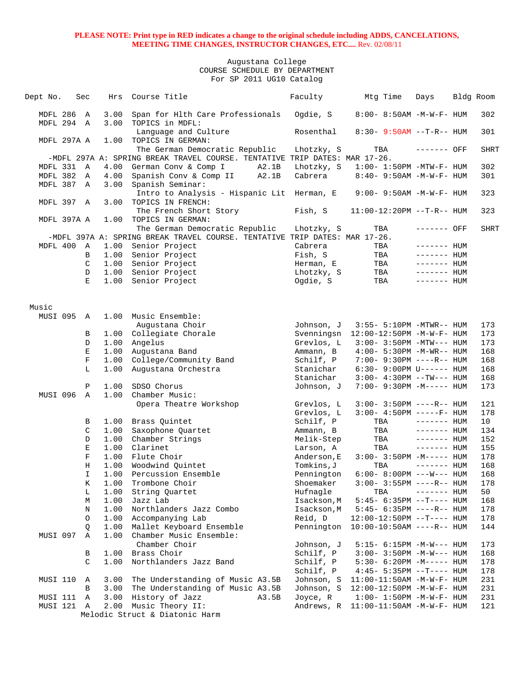| Dept No.          |             | Sec                | Hrs          | Course Title                                                                                                 | Faculty                  | Mtg Time                                              | Days         | Bldg Room   |
|-------------------|-------------|--------------------|--------------|--------------------------------------------------------------------------------------------------------------|--------------------------|-------------------------------------------------------|--------------|-------------|
| MDFL 286          |             | A                  | 3.00         | Span for Hlth Care Professionals                                                                             | Ogdie, S                 | 8:00- 8:50AM -M-W-F- HUM                              |              | 302         |
|                   | MDFL 294 A  |                    | 3.00         | TOPICS in MDFL:                                                                                              |                          |                                                       |              |             |
|                   |             |                    |              | Language and Culture                                                                                         | Rosenthal                | $8:30 - 9:50AM -T-R-- HUM$                            |              | 301         |
|                   | MDFL 297A A |                    | 1.00         | TOPICS IN GERMAN:                                                                                            |                          |                                                       |              |             |
|                   |             |                    |              | The German Democratic Republic<br>-MDFL 297A A: SPRING BREAK TRAVEL COURSE. TENTATIVE TRIP DATES: MAR 17-26. | Lhotzky, S               | TBA                                                   | ------- OFF  | <b>SHRT</b> |
|                   | MDFL 331 A  |                    | 4.00         | German Conv & Comp I<br>A2.1B                                                                                | Lhotzky, S               | $1:00-1:50PM -MTW-F-HUM$                              |              | 302         |
| MDFL 382          |             | A                  | 4.00         | Spanish Conv & Comp II<br>A2.1B                                                                              | Cabrera                  | 8:40- 9:50AM -M-W-F- HUM                              |              | 301         |
| MDFL 387          |             | A                  | 3.00         | Spanish Seminar:                                                                                             |                          |                                                       |              |             |
|                   |             |                    |              | Intro to Analysis - Hispanic Lit Herman, E                                                                   |                          | $9:00 - 9:50AM - M - W - F - HUM$                     |              | 323         |
|                   | MDFL 397 A  |                    | 3.00         | TOPICS IN FRENCH:                                                                                            |                          |                                                       |              |             |
|                   |             |                    |              | The French Short Story                                                                                       | Fish, S                  | 11:00-12:20PM --T-R-- HUM                             |              | 323         |
|                   | MDFL 397A A |                    | 1.00         | TOPICS IN GERMAN:                                                                                            |                          |                                                       |              |             |
|                   |             |                    |              | The German Democratic Republic                                                                               | Lhotzky, S               | TBA                                                   | ------- OFF  | <b>SHRT</b> |
|                   |             |                    |              | -MDFL 397A A: SPRING BREAK TRAVEL COURSE. TENTATIVE TRIP DATES: MAR 17-26.                                   |                          |                                                       |              |             |
| MDFL 400          |             | A                  | 1.00         | Senior Project                                                                                               | Cabrera                  | TBA                                                   | $------$ HUM |             |
|                   |             | В                  |              | 1.00 Senior Project                                                                                          | Fish, S                  | TBA                                                   | $------$ HUM |             |
|                   |             | C                  | 1.00         | Senior Project                                                                                               | Herman, E                | TBA                                                   | ------- HUM  |             |
|                   |             | D<br>E             |              | 1.00 Senior Project                                                                                          | Lhotzky, S               | TBA                                                   | $------HH$   |             |
|                   |             |                    | 1.00         | Senior Project                                                                                               | Ogdie, S                 | TBA                                                   | $------$ HUM |             |
|                   |             |                    |              |                                                                                                              |                          |                                                       |              |             |
| Music<br>MUSI 095 |             |                    | 1.00         | Music Ensemble:                                                                                              |                          |                                                       |              |             |
|                   |             | A                  |              | Augustana Choir                                                                                              |                          |                                                       |              | 173         |
|                   |             | В                  |              | 1.00 Collegiate Chorale                                                                                      | Johnson, J<br>Svenningsn | 3:55- 5:10PM -MTWR-- HUM<br>12:00-12:50PM -M-W-F- HUM |              | 173         |
|                   |             | D                  | 1.00         | Angelus                                                                                                      | Grevlos, L               | $3:00 - 3:50PM -MTW---$ HUM                           |              | 173         |
|                   |             | Ε                  | 1.00         | Augustana Band                                                                                               | Ammann, B                | $4:00 - 5:30PM -M-WR-- HUM$                           |              | 168         |
|                   |             | $\mathbf F$        | 1.00         | College/Community Band                                                                                       | Schilf, P                | 7:00- 9:30PM ----R-- HUM                              |              | 168         |
|                   |             | L                  | 1.00         | Augustana Orchestra                                                                                          | Stanichar                | $6:30-9:00PM$ U------ HUM                             |              | 168         |
|                   |             |                    |              |                                                                                                              | Stanichar                | $3:00-4:30PM -TW---$ HUM                              |              | 168         |
|                   |             | Ρ                  | 1.00         | SDSO Chorus                                                                                                  | Johnson, J               | 7:00- 9:30PM -M----- HUM                              |              | 173         |
| MUSI 096          |             | $\mathbb A$        | 1.00         | Chamber Music:                                                                                               |                          |                                                       |              |             |
|                   |             |                    |              | Opera Theatre Workshop                                                                                       | Grevlos, L               | $3:00 - 3:50PM$ ----R-- HUM                           |              | 121         |
|                   |             |                    |              |                                                                                                              | Grevlos, L               | $3:00-4:50PM$ -----F- HUM                             |              | 178         |
|                   |             | В                  | 1.00         | Brass Quintet                                                                                                | Schilf, P                | TBA                                                   | $------$ HUM | 10          |
|                   |             | C                  | 1.00         | Saxophone Quartet                                                                                            | Ammann, B                | TBA                                                   | $------$ HUM | 134         |
|                   |             | D                  | 1.00         | Chamber Strings                                                                                              | Melik-Step               | TBA                                                   | $------$ HUM | 152         |
|                   |             | Ε                  | 1.00         | Clarinet                                                                                                     | Larson, A                | TBA                                                   | $------$ HUM | 155         |
|                   |             | F                  | 1.00         | Flute Choir                                                                                                  | Anderson, E              | $3:00-3:50PM -M-----$ HUM                             | $------$ HUM | 178         |
|                   |             | Η<br>$\mathbbm{I}$ | 1.00<br>1.00 | Woodwind Quintet<br>Percussion Ensemble                                                                      | Tomkins,J<br>Pennington  | TBA<br>$6:00-8:00PM$ ---W--- HUM                      |              | 168<br>168  |
|                   |             | K                  | 1.00         | Trombone Choir                                                                                               | Shoemaker                | $3:00 - 3:55PM$ ----R-- HUM                           |              | 178         |
|                   |             | Г                  | 1.00         | String Quartet                                                                                               | Hufnagle                 | TBA                                                   | $------$ HUM | 50          |
|                   |             | М                  | 1.00         | Jazz Lab                                                                                                     | Isackson, M              | $5:45-6:35PM -T--- HUM$                               |              | 168         |
|                   |             | Ν                  | 1.00         | Northlanders Jazz Combo                                                                                      | Isackson, M              | $5:45-6:35PM -----R--HUM$                             |              | 178         |
|                   |             | O                  | 1.00         | Accompanying Lab                                                                                             | Reid, D                  | 12:00-12:50PM --T---- HUM                             |              | 178         |
|                   |             | Q                  | 1.00         | Mallet Keyboard Ensemble                                                                                     | Pennington               | $10:00-10:50AM$ ----R-- HUM                           |              | 144         |
| MUSI 097          |             | Α                  | 1.00         | Chamber Music Ensemble:                                                                                      |                          |                                                       |              |             |
|                   |             |                    |              | Chamber Choir                                                                                                | Johnson, J               | 5:15- 6:15PM -M-W--- HUM                              |              | 173         |
|                   |             | В                  | 1.00         | Brass Choir                                                                                                  | Schilf, P                | $3:00 - 3:50PM -M-W---$ HUM                           |              | 168         |
|                   |             | C                  | 1.00         | Northlanders Jazz Band                                                                                       | Schilf, P                | $5:30-6:20PM -M--- HUM$                               |              | 178         |
|                   |             |                    |              |                                                                                                              | Schilf, P                | $4:45 - 5:35PM -T--- HUM$                             |              | 178         |
| MUSI 110          |             | Α                  | 3.00         | The Understanding of Music A3.5B                                                                             | Johnson, S               | $11:00-11:50AM$ -M-W-F- HUM                           |              | 231         |
|                   |             | B                  | 3.00         | The Understanding of Music A3.5B                                                                             | Johnson, S               | 12:00-12:50PM -M-W-F- HUM                             |              | 231         |
| MUSI 111          |             | Α                  | 3.00         | History of Jazz<br>A3.5B                                                                                     | Joyce, R                 | $1:00 - 1:50PM - M - W - F - HUM$                     |              | 231         |
| MUSI 121          |             | A                  | 2.00         | Music Theory II:                                                                                             | Andrews, R               | 11:00-11:50AM -M-W-F- HUM                             |              | 121         |
|                   |             |                    |              | Melodic Struct & Diatonic Harm                                                                               |                          |                                                       |              |             |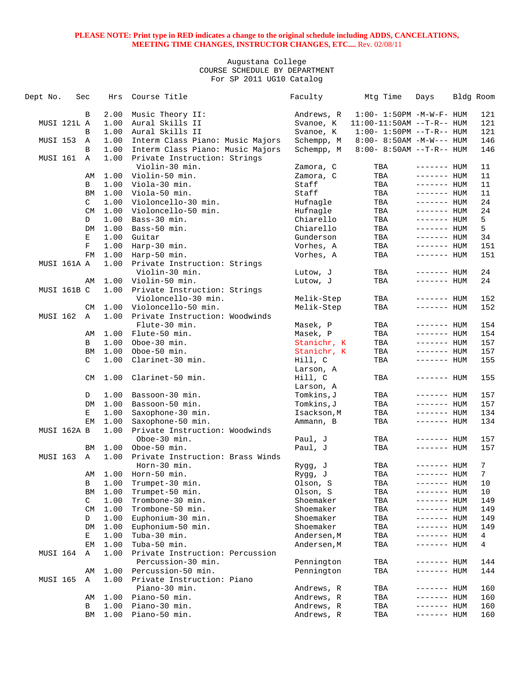| Dept No.        | Sec |               | Hrs  | Course Title                     | Faculty     | Mtg Time                          | Days         | Bldg Room |
|-----------------|-----|---------------|------|----------------------------------|-------------|-----------------------------------|--------------|-----------|
|                 |     | В             | 2.00 | Music Theory II:                 | Andrews, R  | $1:00 - 1:50PM - M - W - F - HUM$ |              | 121       |
| MUSI 121L A     |     |               | 1.00 | Aural Skills II                  | Svanoe, K   | $11:00-11:50AM$ --T-R-- HUM       |              | 121       |
|                 |     | B             | 1.00 | Aural Skills II                  | Svanoe, K   | $1:00 - 1:50PM -T-R-- HUM$        |              | 121       |
| MUSI 153        |     | A             | 1.00 | Interm Class Piano: Music Majors | Schempp, M  | $8:00 - 8:50AM - M - W - - - HUM$ |              | 146       |
|                 |     | B             | 1.00 | Interm Class Piano: Music Majors | Schempp, M  | $8:00 - 8:50AM$ --T-R-- HUM       |              | 146       |
| MUSI 161        |     | Α             | 1.00 | Private Instruction: Strings     |             |                                   |              |           |
|                 |     |               |      | Violin-30 min.                   | Zamora, C   | TBA                               | $------$ HUM | 11        |
|                 |     | AΜ            | 1.00 | Violin-50 min.                   | Zamora, C   | TBA                               | $------$ HUM | 11        |
|                 |     | B             | 1.00 | Viola-30 min.                    | Staff       | TBA                               | $------$ HUM | 11        |
|                 |     | BM            | 1.00 | Viola-50 min.                    | Staff       | TBA                               | $------$ HUM | 11        |
|                 |     | C             | 1.00 | Violoncello-30 min.              | Hufnagle    | TBA                               | $------$ HUM | 24        |
|                 |     | CM            | 1.00 | Violoncello-50 min.              | Hufnagle    | TBA                               | $------$ HUM | 24        |
|                 |     | D             | 1.00 | Bass-30 min.                     | Chiarello   | TBA                               | $------$ HUM | 5         |
|                 |     | DM            | 1.00 | Bass-50 min.                     | Chiarello   | TBA                               | $------$ HUM | 5         |
|                 |     | Ε             | 1.00 | Guitar                           | Gunderson   | TBA                               | $------$ HUM | 34        |
|                 |     | F             | 1.00 | Harp-30 min.                     | Vorhes, A   | TBA                               | $------$ HUM | 151       |
|                 |     | FM            | 1.00 | Harp-50 min.                     | Vorhes, A   | TBA                               | $------$ HUM | 151       |
| MUSI 161A A     |     |               | 1.00 | Private Instruction: Strings     |             |                                   |              |           |
|                 |     |               |      | Violin-30 min.                   | Lutow, J    | TBA                               | ------- HUM  | 24        |
|                 |     | AΜ            | 1.00 | Violin-50 min.                   | Lutow, J    | TBA                               | $------$ HUM | 24        |
| MUSI 161B C     |     |               | 1.00 | Private Instruction: Strings     |             |                                   |              |           |
|                 |     |               |      | Violoncello-30 min.              | Melik-Step  | TBA                               | ------- HUM  | 152       |
|                 |     | <b>CM</b>     | 1.00 | Violoncello-50 min.              | Melik-Step  | TBA                               | $------$ HUM | 152       |
| MUSI 162        |     | $\mathbb A$   | 1.00 | Private Instruction: Woodwinds   |             |                                   |              |           |
|                 |     |               |      | Flute-30 min.                    | Masek, P    | TBA                               | ------- HUM  | 154       |
|                 |     | AΜ            | 1.00 | Flute-50 min.                    | Masek, P    | TBA                               | $------$ HUM | 154       |
|                 |     | B             | 1.00 | Oboe-30 min.                     | Stanichr, K | TBA                               | $------$ HUM | 157       |
|                 |     | BM            | 1.00 | Oboe-50 min.                     | Stanichr, K | TBA                               | ------- HUM  | 157       |
|                 |     | $\mathcal{C}$ | 1.00 | Clarinet-30 min.                 | Hill, C     | TBA                               | $------$ HUM | 155       |
|                 |     |               |      |                                  | Larson, A   |                                   |              |           |
|                 |     | CM            | 1.00 | Clarinet-50 min.                 | Hill, C     | TBA                               | $------$ HUM | 155       |
|                 |     |               |      |                                  | Larson, A   |                                   |              |           |
|                 |     | D             | 1.00 | Bassoon-30 min.                  | Tomkins, J  | TBA                               | $------$ HUM | 157       |
|                 |     | DM            | 1.00 | Bassoon-50 min.                  | Tomkins,J   | TBA                               | $------$ HUM | 157       |
|                 |     | Е             | 1.00 | Saxophone-30 min.                | Isackson, M | TBA                               | $------$ HUM | 134       |
|                 |     | EM            | 1.00 | Saxophone-50 min.                | Ammann, B   | TBA                               | $------$ HUM | 134       |
| MUSI 162A B     |     |               | 1.00 | Private Instruction: Woodwinds   |             |                                   |              |           |
|                 |     |               |      | Oboe-30 min.                     | Paul, J     | TBA                               | ------- HUM  | 157       |
|                 |     | BM            | 1.00 | Oboe-50 min.                     | Paul, J     | TBA                               | $------$ HUM | 157       |
| MUSI 163        |     | Α             | 1.00 | Private Instruction: Brass Winds |             |                                   |              |           |
|                 |     |               |      | Horn-30 min.                     | Rygg, J     | TBA                               | ------- HUM  | 7         |
|                 |     | AΜ            | 1.00 | Horn-50 min.                     | Rygg, J     | TBA                               | $------$ HUM | 7         |
|                 |     | В             | 1.00 | Trumpet-30 min.                  | Olson, S    | TBA                               | ------- HUM  | 10        |
|                 |     | BM            | 1.00 | Trumpet-50 min.                  | Olson, S    | TBA                               | $------$ HUM | 10        |
|                 |     | C             | 1.00 | Trombone-30 min.                 | Shoemaker   | TBA                               | ------- HUM  | 149       |
|                 |     | CM            | 1.00 | Trombone-50 min.                 | Shoemaker   | TBA                               | ------- HUM  | 149       |
|                 |     | D             | 1.00 | Euphonium-30 min.                | Shoemaker   | TBA                               | ------- HUM  | 149       |
|                 |     | DM            | 1.00 | Euphonium-50 min.                | Shoemaker   | TBA                               | ------- HUM  | 149       |
|                 |     | Е             | 1.00 | Tuba-30 min.                     | Andersen,M  | TBA                               | ------- HUM  | 4         |
|                 |     | EМ            | 1.00 | Tuba-50 min.                     | Andersen, M | TBA                               | ------- HUM  | 4         |
| MUSI 164        |     | Α             | 1.00 | Private Instruction: Percussion  |             |                                   |              |           |
|                 |     |               |      | Percussion-30 min.               | Pennington  | TBA                               | ------- HUM  | 144       |
|                 |     | AΜ            | 1.00 | Percussion-50 min.               | Pennington  | TBA                               | ------- HUM  | 144       |
| <b>MUSI 165</b> |     | Α             | 1.00 | Private Instruction: Piano       |             |                                   |              |           |
|                 |     |               |      | Piano-30 min.                    | Andrews, R  | TBA                               | ------- HUM  | 160       |
|                 |     | AΜ            | 1.00 | Piano-50 min.                    | Andrews, R  | TBA                               | ------- HUM  | 160       |
|                 |     | В             | 1.00 | Piano-30 min.                    | Andrews, R  | TBA                               | ------- HUM  | 160       |
|                 |     | ΒM            | 1.00 | Piano-50 min.                    | Andrews, R  | TBA                               | ------- HUM  | 160       |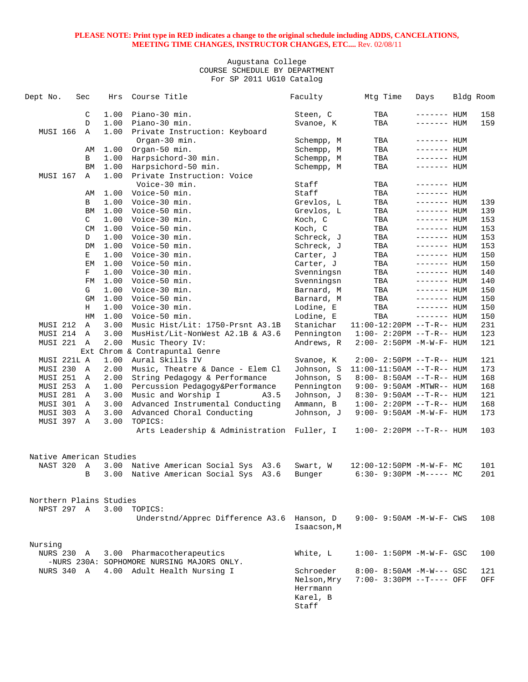| Dept No.                | Sec          | Hrs  | Course Title                                   | Faculty     | Mtg Time                          | Days         | Bldg Room |
|-------------------------|--------------|------|------------------------------------------------|-------------|-----------------------------------|--------------|-----------|
|                         | C            | 1.00 | Piano-30 min.                                  | Steen, C    | TBA                               | $------$ HUM | 158       |
|                         | D            | 1.00 | Piano-30 min.                                  | Svanoe, K   | TBA                               | $------$ HUM | 159       |
| MUSI 166                | $\mathbb A$  | 1.00 | Private Instruction: Keyboard                  |             |                                   |              |           |
|                         |              |      | Organ-30 min.                                  | Schempp, M  | TBA                               | $------$ HUM |           |
|                         | AΜ           | 1.00 | Organ-50 min.                                  | Schempp, M  | TBA                               | ------- HUM  |           |
|                         | В            | 1.00 | Harpsichord-30 min.                            | Schempp, M  | TBA                               | $------$ HUM |           |
|                         | BM           | 1.00 | Harpsichord-50 min.                            | Schempp, M  | TBA                               | $------$ HUM |           |
| MUSI 167                | Α            | 1.00 | Private Instruction: Voice                     |             |                                   |              |           |
|                         |              |      | Voice-30 min.                                  | Staff       | TBA                               | $------$ HUM |           |
|                         | AΜ           | 1.00 | Voice-50 min.                                  | Staff       | TBA                               | $------$ HUM |           |
|                         | B            | 1.00 | Voice-30 min.                                  | Grevlos, L  | TBA                               | ------- HUM  | 139       |
|                         | BM           | 1.00 | Voice-50 min.                                  | Grevlos, L  | TBA                               | $------$ HUM | 139       |
|                         | C            | 1.00 | Voice-30 min.                                  | Koch, C     | TBA                               | $------$ HUM | 153       |
|                         | CM           | 1.00 | Voice-50 min.                                  | Koch, C     | TBA                               | $------$ HUM | 153       |
|                         | D            | 1.00 | Voice-30 min.                                  | Schreck, J  | TBA                               | $------$ HUM | 153       |
|                         | DM           | 1.00 | Voice-50 min.                                  | Schreck, J  | TBA                               | $------$ HUM | 153       |
|                         | Е            | 1.00 | Voice-30 min.                                  | Carter, J   | TBA                               | $------$ HUM | 150       |
|                         | EМ           | 1.00 | Voice-50 min.                                  | Carter, J   | TBA                               | $------$ HUM | 150       |
|                         | F            | 1.00 | Voice-30 min.                                  | Svenningsn  | TBA                               | $------$ HUM | 140       |
|                         | FМ           | 1.00 | Voice-50 min.                                  | Svenningsn  | TBA                               | $------$ HUM | 140       |
|                         | G            | 1.00 | Voice-30 min.                                  | Barnard, M  | TBA                               | $------$ HUM | 150       |
|                         | GМ           | 1.00 | Voice-50 min.                                  | Barnard, M  | TBA                               | $------$ HUM | 150       |
|                         | Н            | 1.00 | Voice-30 min.                                  | Lodine, E   | TBA                               | $------$ HUM | 150       |
|                         | HM           | 1.00 | Voice-50 min.                                  | Lodine, E   | TBA                               | $------$ HUM | 150       |
| MUSI 212                | Α            | 3.00 | Music Hist/Lit: 1750-Prsnt A3.1B               | Stanichar   | 11:00-12:20PM --T-R-- HUM         |              | 231       |
| MUSI 214                | A            | 3.00 | MusHist/Lit-NonWest A2.1B & A3.6               | Pennington  | $1:00 - 2:20PM -T-R--HUM$         |              | 123       |
| MUSI 221                | $\mathbb{A}$ | 2.00 | Music Theory IV:<br>Chrom & Contrapuntal Genre | Andrews, R  | $2:00 - 2:50PM -M-W-F - HUM$      |              | 121       |
| MUSI 221L A             | Ext          | 1.00 | Aural Skills IV                                | Svanoe, K   | $2:00-2:50PM -T-R--HUM$           |              | 121       |
| MUSI 230                | A            | 2.00 | Music, Theatre & Dance - Elem Cl               | Johnson, S  | $11:00-11:50AM$ --T-R-- HUM       |              | 173       |
| MUSI 251                | A            | 2.00 | String Pedagogy & Performance                  | Johnson, S  | $8:00 - 8:50AM -T-R-- HUM$        |              | 168       |
| MUSI 253                | A            | 1.00 | Percussion Pedagogy&Performance                | Pennington  | $9:00 - 9:50AM - MTWR - - HUM$    |              | 168       |
| MUSI 281 A              |              | 3.00 | Music and Worship I<br>A3.5                    | Johnson, J  | $8:30 - 9:50AM -T-R-- HUM$        |              | 121       |
| MUSI 301                | $\mathbb{A}$ | 3.00 | Advanced Instrumental Conducting               | Ammann, B   | $1:00 - 2:20PM -T-R--HUM$         |              | 168       |
| MUSI 303                | A            | 3.00 | Advanced Choral Conducting                     | Johnson, J  | 9:00- 9:50AM -M-W-F- HUM          |              | 173       |
| MUSI 397 A              |              | 3.00 | TOPICS:                                        |             |                                   |              |           |
|                         |              |      | Arts Leadership & Administration Fuller, I     |             | $1:00 - 2:20PM -T-R--HUM$         |              | 103       |
| Native American Studies |              |      |                                                |             |                                   |              |           |
| NAST 320                | A            | 3.00 | Native American Social Sys A3.6                | Swart, W    | 12:00-12:50PM -M-W-F- MC          |              | 101       |
|                         | B            | 3.00 | Native American Social Sys<br>A3.6             | Bunger      | $6:30 - 9:30PM -M--- MC$          |              | 201       |
| Northern Plains Studies |              |      |                                                |             |                                   |              |           |
| NPST 297 A              |              | 3.00 | TOPICS:                                        |             |                                   |              |           |
|                         |              |      | Understnd/Apprec Difference A3.6 Hanson, D     |             | $9:00 - 9:50AM - M - W - F - CWS$ |              | 108       |
|                         |              |      |                                                | Isaacson, M |                                   |              |           |
| Nursing                 |              |      |                                                |             |                                   |              |           |
| <b>NURS 230 A</b>       |              |      | 3.00 Pharmacotherapeutics                      | White, L    | $1:00 - 1:50PM - M - W - F - GSC$ |              | 100       |
|                         |              |      | -NURS 230A: SOPHOMORE NURSING MAJORS ONLY.     |             |                                   |              |           |
| NURS 340 A              |              |      | 4.00 Adult Health Nursing I                    | Schroeder   | $8:00 - 8:50AM - M-W--- GSC$      |              | 121       |
|                         |              |      |                                                | Nelson, Mry | 7:00- 3:30PM --T---- OFF          |              | OFF       |
|                         |              |      |                                                | Herrmann    |                                   |              |           |
|                         |              |      |                                                | Karel, B    |                                   |              |           |
|                         |              |      |                                                | Staff       |                                   |              |           |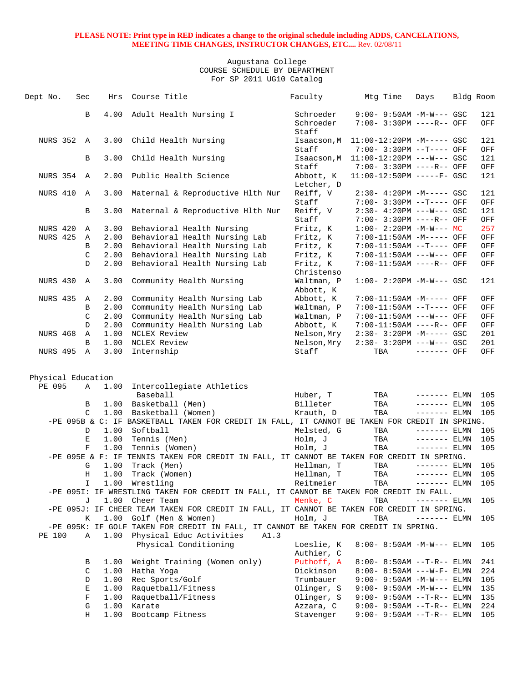| Dept No.           | Sec           | Hrs  | Course Title                                                                                                             | Faculty                 | Mtg Time                                                | Days          | Bldg Room |            |
|--------------------|---------------|------|--------------------------------------------------------------------------------------------------------------------------|-------------------------|---------------------------------------------------------|---------------|-----------|------------|
|                    | В             | 4.00 | Adult Health Nursing I                                                                                                   | Schroeder               | $9:00 - 9:50AM - M-W--- GSC$                            |               |           | 121        |
|                    |               |      |                                                                                                                          | Schroeder<br>Staff      | 7:00- 3:30PM ----R-- OFF                                |               |           | OFF        |
| NURS 352 A         |               | 3.00 | Child Health Nursing                                                                                                     | Isaacson, M             | $11:00-12:20PM -M----- GSC$                             |               |           | 121        |
|                    | В             | 3.00 | Child Health Nursing                                                                                                     | Staff<br>Isaacson, M    | 7:00- 3:30PM --T---- OFF<br>$11:00-12:20PM$ ---W--- GSC |               |           | OFF<br>121 |
|                    |               |      |                                                                                                                          | Staff                   | 7:00- 3:30PM ----R-- OFF                                |               |           | OFF        |
| <b>NURS 354</b>    | $\mathbb{A}$  | 2.00 | Public Health Science                                                                                                    | Abbott, K<br>Letcher, D | 11:00-12:50PM -----F- GSC                               |               |           | 121        |
| NURS 410           | $\mathbb{A}$  | 3.00 | Maternal & Reproductive Hlth Nur                                                                                         | Reiff, V<br>Staff       | $2:30-4:20PM -M--- GSC$<br>7:00- 3:30PM --T---- OFF     |               |           | 121<br>OFF |
|                    | В             | 3.00 | Maternal & Reproductive Hlth Nur                                                                                         | Reiff, V<br>Staff       | $2:30-4:20PM$ ---W--- GSC<br>7:00- 3:30PM ----R-- OFF   |               |           | 121<br>OFF |
| NURS 420           | Α             | 3.00 | Behavioral Health Nursing                                                                                                | Fritz, K                | $1:00-2:20PM -M-W--- MC$                                |               |           | 257        |
| <b>NURS 425</b>    | Α             | 2.00 | Behavioral Health Nursing Lab                                                                                            | Fritz, K                | 7:00-11:50AM -M----- OFF                                |               |           | OFF        |
|                    | B             | 2.00 | Behavioral Health Nursing Lab                                                                                            | Fritz, K                | 7:00-11:50AM --T---- OFF                                |               |           | OFF        |
|                    | C             | 2.00 | Behavioral Health Nursing Lab                                                                                            | Fritz, K                | 7:00-11:50AM ---W--- OFF                                |               |           | OFF        |
|                    | D             | 2.00 | Behavioral Health Nursing Lab                                                                                            | Fritz, K                | 7:00-11:50AM ----R-- OFF                                |               |           | OFF        |
|                    |               |      |                                                                                                                          | Christenso              |                                                         |               |           |            |
| NURS 430           | $\mathbb{A}$  | 3.00 | Community Health Nursing                                                                                                 | Waltman, P<br>Abbott, K | $1:00-2:20PM -M-W--- GSC$                               |               |           | 121        |
| NURS 435           | A             | 2.00 | Community Health Nursing Lab                                                                                             | Abbott, K               | 7:00-11:50AM -M----- OFF                                |               |           | OFF        |
|                    | B             | 2.00 | Community Health Nursing Lab                                                                                             | Waltman, P              | 7:00-11:50AM --T---- OFF                                |               |           | OFF        |
|                    | $\mathcal{C}$ | 2.00 | Community Health Nursing Lab                                                                                             | Waltman, P              | 7:00-11:50AM ---W--- OFF                                |               |           | OFF        |
|                    | D             | 2.00 | Community Health Nursing Lab                                                                                             | Abbott, K               | 7:00-11:50AM ----R-- OFF                                |               |           | OFF        |
| NURS 468           | Α             | 1.00 | NCLEX Review                                                                                                             | Nelson, Mry             | $2:30 - 3:20PM -M--- GSC$                               |               |           | 201        |
|                    | B             | 1.00 | NCLEX Review                                                                                                             | Nelson, Mry             | $2:30 - 3:20PM$ ---W--- GSC                             |               |           | 201        |
| NURS 495           | Α             | 3.00 | Internship                                                                                                               | Staff                   | TBA                                                     | ------- OFF   |           | OFF        |
|                    |               |      |                                                                                                                          |                         |                                                         |               |           |            |
| Physical Education |               |      |                                                                                                                          |                         |                                                         |               |           |            |
| PE 095             | A             | 1.00 | Intercollegiate Athletics                                                                                                |                         |                                                         |               |           |            |
|                    |               |      | Baseball                                                                                                                 | Huber, T                | TBA                                                     | $------$ ELMN |           | 105        |
|                    | В             | 1.00 | Basketball (Men)                                                                                                         | Billeter                | TBA                                                     | $------$ ELMN |           | 105        |
|                    | C             | 1.00 | Basketball (Women)                                                                                                       | Krauth, D               | TBA                                                     | $------ELMN$  |           | 105        |
|                    |               |      | -PE 095B & C: IF BASKETBALL TAKEN FOR CREDIT IN FALL, IT CANNOT BE TAKEN FOR CREDIT IN SPRING.                           |                         |                                                         |               |           |            |
|                    | D             | 1.00 | Softball                                                                                                                 | Melsted, G              | TBA                                                     | $------$ ELMN |           | 105        |
|                    | Ε             | 1.00 | Tennis (Men)                                                                                                             | Holm, J                 | TBA                                                     | $------$ ELMN |           | 105        |
|                    | $\mathbf F$   | 1.00 | Tennis (Women)                                                                                                           | Holm, J                 | TBA                                                     | $------ELMN$  |           | 105        |
|                    |               |      | -PE 095E & F: IF TENNIS TAKEN FOR CREDIT IN FALL, IT CANNOT BE TAKEN FOR CREDIT IN SPRING.                               |                         |                                                         |               |           |            |
|                    | G             | 1.00 | Track (Men)                                                                                                              | Hellman, T              | TBA                                                     | $------ELMN$  |           | 105        |
|                    | Н             | 1.00 | Track (Women)                                                                                                            | Hellman, T              | TBA                                                     | $------$ ELMN |           | 105        |
|                    | I.            |      | 1.00 Wrestling                                                                                                           | Reitmeier               | TBA                                                     | $------$ ELMN |           | 105        |
|                    |               |      | -PE 0951: IF WRESTLING TAKEN FOR CREDIT IN FALL, IT CANNOT BE TAKEN FOR CREDIT IN FALL.                                  |                         |                                                         |               |           |            |
|                    | J             |      | 1.00 Cheer Team                                                                                                          | Menke, C                | TBA                                                     | $------ELMN$  |           | 105        |
|                    |               |      | -PE 095J: IF CHEER TEAM TAKEN FOR CREDIT IN FALL, IT CANNOT BE TAKEN FOR CREDIT IN SPRING.                               |                         |                                                         |               |           |            |
|                    | Κ             | 1.00 | Golf (Men & Women)                                                                                                       | Holm, J                 | TBA                                                     | $------ELMN$  |           | 105        |
| PE 100             | $\mathbb A$   | 1.00 | -PE 095K: IF GOLF TAKEN FOR CREDIT IN FALL, IT CANNOT BE TAKEN FOR CREDIT IN SPRING.<br>Physical Educ Activities<br>A1.3 |                         |                                                         |               |           |            |
|                    |               |      | Physical Conditioning                                                                                                    | Loeslie, K              | $8:00 - 8:50AM - M - W - - -$ ELMN                      |               |           | 105        |
|                    |               |      |                                                                                                                          | Authier, C              |                                                         |               |           |            |
|                    | В             | 1.00 | Weight Training (Women only)                                                                                             | Puthoff, A              | $8:00 - 8:50AM -T-R--ELMN$                              |               |           | 241        |
|                    | C             | 1.00 | Hatha Yoga                                                                                                               | Dickinson               | $8:00 - 8:50AM$ ---W-F- ELMN                            |               |           | 224        |
|                    | D             | 1.00 | Rec Sports/Golf                                                                                                          | Trumbauer               | $9:00 - 9:50AM - M-W---$ ELMN                           |               |           | 105        |
|                    | E             | 1.00 | Raquetball/Fitness                                                                                                       | Olinger, S              | 9:00- 9:50AM -M-W--- ELMN                               |               |           | 135        |
|                    | $\mathbf F$   | 1.00 | Raquetball/Fitness                                                                                                       | Olinger, S              | 9:00- 9:50AM --T-R-- ELMN                               |               |           | 135        |
|                    | G             | 1.00 | Karate                                                                                                                   | Azzara, C               | $9:00 - 9:50AM -T-R--ELMN$                              |               |           | 224        |
|                    | Η             | 1.00 | Bootcamp Fitness                                                                                                         | Stavenger               | $9:00 - 9:50AM -T-R--ELMN$                              |               |           | 105        |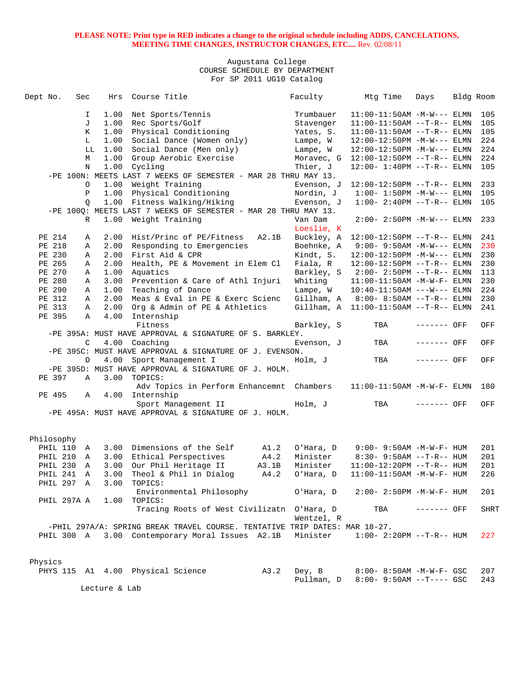| Dept No. |            | Sec          | Hrs           | Course Title                                                               |       | Faculty    | Mtg Time                              | Days        | Bldg Room |      |
|----------|------------|--------------|---------------|----------------------------------------------------------------------------|-------|------------|---------------------------------------|-------------|-----------|------|
|          |            | I.           | 1.00          | Net Sports/Tennis                                                          |       | Trumbauer  | $11:00-11:50AM -M-W---$ ELMN          |             |           | 105  |
|          |            | J            | 1.00          | Rec Sports/Golf                                                            |       | Stavenger  | $11:00-11:50AM$ --T-R-- ELMN          |             |           | 105  |
|          |            | K            | 1.00          | Physical Conditioning                                                      |       | Yates, S.  | $11:00-11:50AM$ --T-R-- ELMN          |             |           | 105  |
|          |            | L            | 1.00          | Social Dance (Women only)                                                  |       | Lampe, W   | $12:00-12:50PM -M-W---$ ELMN          |             |           | 224  |
|          |            | LL           | 1.00          | Social Dance (Men only)                                                    |       | Lampe, W   | 12:00-12:50PM -M-W--- ELMN            |             |           | 224  |
|          |            | М            |               | Group Aerobic Exercise                                                     |       |            |                                       |             |           | 224  |
|          |            |              | 1.00          |                                                                            |       | Moravec, G | $12:00-12:50PM -T-R-- ELMN$           |             |           |      |
|          |            | N            |               | 1.00 Cycling                                                               |       | Thier, J   | $12:00 - 1:40PM -T-R-- ELMN$          |             |           | 105  |
|          |            |              |               | -PE 100N: MEETS LAST 7 WEEKS OF SEMESTER - MAR 28 THRU MAY 13.             |       |            |                                       |             |           |      |
|          |            | O            | 1.00          | Weight Training                                                            |       | Evenson, J | $12:00-12:50PM$ --T-R-- ELMN          |             |           | 233  |
|          |            | $\mathbf{P}$ | 1.00          | Physical Conditioning                                                      |       | Nordin, J  | $1:00 - 1:50PM -M-W---$ ELMN          |             |           | 105  |
|          |            | Q            |               | 1.00 Fitness Walking/Hiking                                                |       | Evenson, J | $1:00 - 2:40PM -T-R-- ELMN$           |             |           | 105  |
|          |            |              |               | -PE 100Q: MEETS LAST 7 WEEKS OF SEMESTER - MAR 28 THRU MAY 13.             |       |            |                                       |             |           |      |
|          |            | R            |               | 1.00 Weight Training                                                       |       | Van Dam    | $2:00 - 2:50PM -M-W---$ ELMN          |             |           | 233  |
|          |            |              |               |                                                                            |       | Loeslie, K |                                       |             |           |      |
|          | PE 214     | Α            | 2.00          | Hist/Princ of PE/Fitness                                                   | A2.1B |            | Buckley, A 12:00-12:50PM --T-R-- ELMN |             |           | 241  |
|          | PE 218     | Α            | 2.00          | Responding to Emergencies                                                  |       | Boehnke, A | $9:00 - 9:50AM - M-W---$ ELMN         |             |           | 230  |
|          | PE 230     | Α            | 2.00          | First Aid & CPR                                                            |       | Kindt, S.  | $12:00-12:50PM -M-W---$ ELMN          |             |           | 230  |
|          | PE 265     | Α            | 2.00          | Health, PE & Movement in Elem Cl                                           |       | Fiala, R   | $12:00-12:50PM$ --T-R-- ELMN          |             |           | 230  |
|          | PE 270     | Α            | 1.00          | Aquatics                                                                   |       |            | Barkley, S 2:00- 2:50PM --T-R-- ELMN  |             |           | 113  |
|          | PE 280     | Α            | 3.00          | Prevention & Care of Athl Injuri                                           |       | Whiting    | 11:00-11:50AM -M-W-F- ELMN            |             |           | 230  |
|          | PE 290     | Α            | 1.00          | Teaching of Dance                                                          |       | Lampe, W   | $10:40-11:50AM$ ---W--- ELMN          |             |           | 224  |
|          | PE 312     | A            | 2.00          | Meas & Eval in PE & Exerc Scienc                                           |       |            | Gillham, A 8:00-8:50AM --T-R-- ELMN   |             |           | 230  |
|          | PE 313     | Α            | 2.00          | Org & Admin of PE & Athletics                                              |       |            | Gillham, A 11:00-11:50AM --T-R-- ELMN |             |           | 241  |
|          | PE 395     | A            | 4.00          | Internship                                                                 |       |            |                                       |             |           |      |
|          |            |              |               | Fitness                                                                    |       | Barkley, S | TBA                                   | $-----$ OFF |           | OFF  |
|          |            |              |               | -PE 395A: MUST HAVE APPROVAL & SIGNATURE OF S. BARKLEY.                    |       |            |                                       |             |           |      |
|          |            | C            |               | 4.00 Coaching                                                              |       | Evenson, J | TBA                                   | ------- OFF |           | OFF  |
|          |            |              |               | -PE 395C: MUST HAVE APPROVAL & SIGNATURE OF J. EVENSON.                    |       |            |                                       |             |           |      |
|          |            | D            |               | 4.00 Sport Management I                                                    |       | Holm, J    | TBA                                   | ------- OFF |           | OFF  |
|          |            |              |               | -PE 395D: MUST HAVE APPROVAL & SIGNATURE OF J. HOLM.                       |       |            |                                       |             |           |      |
|          | PE 397     | A            | 3.00          | TOPICS:                                                                    |       |            |                                       |             |           |      |
|          |            |              |               | Adv Topics in Perform Enhancemnt Chambers                                  |       |            | $11:00-11:50AM$ -M-W-F- ELMN          |             |           | 180  |
|          | PE 495     | A            |               | 4.00 Internship                                                            |       |            |                                       |             |           |      |
|          |            |              |               | Sport Management II                                                        |       | Holm, J    | TBA                                   | ------- OFF |           | OFF  |
|          |            |              |               | -PE 495A: MUST HAVE APPROVAL & SIGNATURE OF J. HOLM.                       |       |            |                                       |             |           |      |
|          |            |              |               |                                                                            |       |            |                                       |             |           |      |
|          |            |              |               |                                                                            |       |            |                                       |             |           |      |
|          | Philosophy |              |               |                                                                            |       |            |                                       |             |           |      |
|          | PHIL 110   | A            |               | 3.00 Dimensions of the Self                                                | A1.2  | O'Hara, D  | $9:00 - 9:50AM - M - W - F - HUM$     |             |           | 201  |
|          | PHIL 210   | A            | 3.00          | Ethical Perspectives                                                       | A4.2  | Minister   | $8:30 - 9:50AM -T-R-- HUM$            |             |           | 201  |
|          | PHIL 230   | A            | 3.00          | Our Phil Heritage II                                                       | A3.1B | Minister   | $11:00-12:20PM -T-R--HUM$             |             |           | 201  |
|          |            | $\mathbb{A}$ |               |                                                                            |       |            |                                       |             |           | 226  |
|          | PHIL 241   |              | 3.00          | Theol & Phil in Dialog                                                     | A4.2  | O'Hara, D  | $11:00-11:50AM$ -M-W-F- HUM           |             |           |      |
|          |            | PHIL 297 A   | 3.00          | TOPICS:                                                                    |       |            |                                       |             |           |      |
|          |            |              |               | Environmental Philosophy                                                   |       | O'Hara, D  | $2:00 - 2:50PM -M-W-F - HUM$          |             |           | 201  |
|          |            | PHIL 297A A  |               | $1.00$ TOPICS:                                                             |       |            |                                       |             |           |      |
|          |            |              |               | Tracing Roots of West Civilizatn O'Hara, D                                 |       |            | TBA                                   | ------- OFF |           | SHRT |
|          |            |              |               |                                                                            |       | Wentzel, R |                                       |             |           |      |
|          |            |              |               | -PHIL 297A/A: SPRING BREAK TRAVEL COURSE. TENTATIVE TRIP DATES: MAR 18-27. |       |            |                                       |             |           |      |
|          |            |              |               | PHIL 300 A 3.00 Contemporary Moral Issues A2.1B                            |       | Minister   | $1:00-2:20PM --T-R--HUM$              |             |           | 227  |
|          |            |              |               |                                                                            |       |            |                                       |             |           |      |
|          |            |              |               |                                                                            |       |            |                                       |             |           |      |
| Physics  |            |              |               |                                                                            |       |            |                                       |             |           |      |
|          |            |              |               | PHYS 115 A1 4.00 Physical Science                                          | A3.2  | Dey, B     | 8:00- 8:50AM -M-W-F- GSC              |             |           | 207  |
|          |            |              |               |                                                                            |       | Pullman, D | $8:00 - 9:50AM -T--- GSC$             |             |           | 243  |
|          |            |              | Lecture & Lab |                                                                            |       |            |                                       |             |           |      |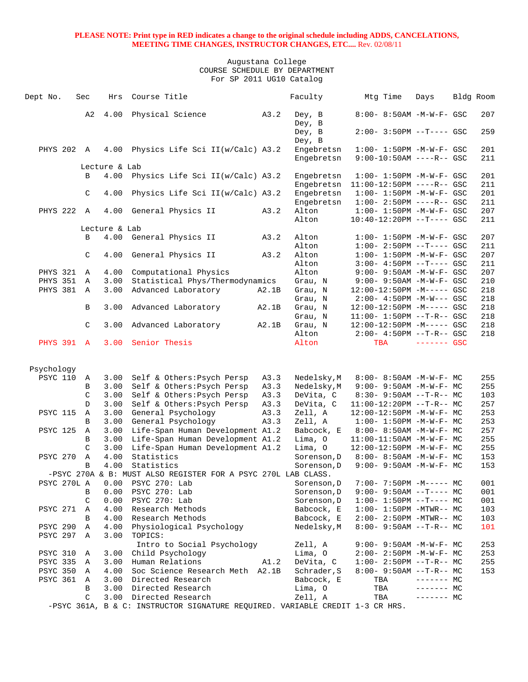| Dept No.        | Sec           | Hrs           | Course Title                                                                  |              | Faculty                  | Mtg Time                                                     | Days         | Bldg Room  |
|-----------------|---------------|---------------|-------------------------------------------------------------------------------|--------------|--------------------------|--------------------------------------------------------------|--------------|------------|
|                 | A2            | 4.00          | Physical Science                                                              | A3.2         | Dey, B<br>Dey, B         | 8:00- 8:50AM -M-W-F- GSC                                     |              | 207        |
|                 |               |               |                                                                               |              | Dey, B<br>Dey, B         | $2:00 - 3:50PM -T--- GSC$                                    |              | 259        |
| PHYS 202 A      |               | 4.00          | Physics Life Sci II(w/Calc) A3.2                                              |              | Engebretsn               | $1:00 - 1:50PM - M - W - F - GSC$                            |              | 201        |
|                 |               |               |                                                                               |              | Engebretsn               | $9:00-10:50AM$ ----R-- GSC                                   |              | 211        |
|                 |               | Lecture & Lab |                                                                               |              |                          |                                                              |              |            |
|                 | B             | 4.00          | Physics Life Sci II(w/Calc) A3.2                                              |              | Engebretsn               | $1:00 - 1:50PM - M - W - F - GSC$                            |              | 201        |
|                 | $\mathcal{C}$ | 4.00          |                                                                               |              | Engebretsn<br>Engebretsn | $11:00-12:50PM$ ----R-- GSC<br>$1:00 - 1:50PM -M-W-F - GSC$  |              | 211<br>201 |
|                 |               |               | Physics Life Sci II(w/Calc) A3.2                                              |              | Engebretsn               | $1:00 - 2:50PM$ ----R-- GSC                                  |              | 211        |
| <b>PHYS 222</b> | $\mathbb A$   | 4.00          | General Physics II                                                            | A3.2         | Alton                    | $1:00 - 1:50PM - M - W - F - GSC$                            |              | 207        |
|                 |               |               |                                                                               |              | Alton                    | $10:40-12:20PM$ --T---- GSC                                  |              | 211        |
|                 |               | Lecture & Lab |                                                                               |              |                          |                                                              |              |            |
|                 | B             | 4.00          | General Physics II                                                            | A3.2         | Alton                    | $1:00 - 1:50PM - M - W - F - GSC$                            |              | 207        |
|                 |               |               |                                                                               |              | Alton                    | $1:00 - 2:50PM -T---$ GSC                                    |              | 211        |
|                 | $\mathcal{C}$ | 4.00          | General Physics II                                                            | A3.2         | Alton                    | $1:00 - 1:50PM - M - W - F - GSC$                            |              | 207        |
|                 |               |               |                                                                               |              | Alton                    | $3:00-4:50PM -T---GSC$                                       |              | 211        |
| PHYS 321        | Α             | 4.00          | Computational Physics                                                         |              | Alton                    | $9:00 - 9:50AM - M - W - F - GSC$                            |              | 207        |
| <b>PHYS 351</b> | Α             | 3.00          | Statistical Phys/Thermodynamics                                               |              | Grau, N                  | 9:00- 9:50AM -M-W-F- GSC                                     |              | 210        |
| PHYS 381        | A             | 3.00          | Advanced Laboratory                                                           | A2.1B        | Grau, N                  | $12:00-12:50PM -M--- GSC$                                    |              | 218        |
|                 |               |               |                                                                               |              | Grau, N                  | $2:00 - 4:50PM - M-W--- GSC$                                 |              | 218        |
|                 | В             | 3.00          | Advanced Laboratory                                                           | A2.1B        | Grau, N                  | $12:00-12:50PM -M--- GSC$                                    |              | 218        |
|                 |               |               |                                                                               |              | Grau, N                  | $11:00 - 1:50PM -T-R--GSC$                                   |              | 218        |
|                 | C             | 3.00          | Advanced Laboratory                                                           | A2.1B        | Grau, N                  | $12:00-12:50PM -M--- GSC$                                    |              | 218        |
| PHYS 391 A      |               | 3.00          | Senior Thesis                                                                 |              | Alton<br>Alton           | $2:00 - 4:50PM -T-R--GSC$<br>TBA                             | $------$ GSC | 218        |
|                 |               |               |                                                                               |              |                          |                                                              |              |            |
| Psychology      |               |               |                                                                               |              |                          |                                                              |              |            |
| <b>PSYC 110</b> | A             | 3.00          | Self & Others: Psych Persp                                                    | A3.3         | Nedelsky, M              | $8:00 - 8:50AM - M - W - F - MC$                             |              | 255        |
|                 | B             | 3.00          | Self & Others: Psych Persp                                                    | A3.3         | Nedelsky, M              | $9:00 - 9:50AM - M - W - F - MC$                             |              | 255        |
|                 | C             | 3.00          | Self & Others: Psych Persp                                                    | A3.3         | DeVita, C                | $8:30 - 9:50AM -T-R-- MC$                                    |              | 103        |
| <b>PSYC 115</b> | D<br>Α        | 3.00<br>3.00  | Self & Others: Psych Persp                                                    | A3.3<br>A3.3 | DeVita, C<br>Zell, A     | $11:00-12:20PM$ --T-R-- MC                                   |              | 257<br>253 |
|                 | B             | 3.00          | General Psychology<br>General Psychology                                      | A3.3         | Zell, A                  | 12:00-12:50PM -M-W-F- MC<br>$1:00 - 1:50PM - M - W - F - MC$ |              | 253        |
| <b>PSYC 125</b> | Α             | 3.00          | Life-Span Human Development A1.2                                              |              | Babcock, E               | $8:00 - 8:50AM - M - W - F - MC$                             |              | 257        |
|                 | B             | 3.00          | Life-Span Human Development A1.2                                              |              | Lima, 0                  | $11:00-11:50AM$ -M-W-F- MC                                   |              | 255        |
|                 | C             | 3.00          | Life-Span Human Development A1.2                                              |              | Lima, O                  | 12:00-12:50PM -M-W-F- MC                                     |              | 255        |
| <b>PSYC 270</b> | $\mathbb A$   | 4.00          | Statistics                                                                    |              | Sorenson, D              | $8:00 - 8:50AM - M - W - F - MC$                             |              | 153        |
|                 | B             | 4.00          | Statistics                                                                    |              | Sorenson, D              | $9:00 - 9:50AM - M - W - F - MC$                             |              | 153        |
|                 |               |               | -PSYC 270A & B: MUST ALSO REGISTER FOR A PSYC 270L LAB CLASS.                 |              |                          |                                                              |              |            |
| PSYC 270L A     |               | 0.00          | PSYC 270: Lab                                                                 |              | Sorenson, D              | $7:00 - 7:50PM -M--- - M$                                    |              | 001        |
|                 | В             | 0.00          | PSYC 270: Lab                                                                 |              | Sorenson, D              | 9:00- 9:50AM --T---- MC                                      |              | 001        |
|                 | C             | 0.00          | PSYC 270: Lab                                                                 |              | Sorenson, D              | $1:00-1:50PM -T--- MC$                                       |              | 001        |
| PSYC 271        | Α             | 4.00          | Research Methods                                                              |              | Babcock, E               | $1:00-1:50PM -MTWR-- MC$                                     |              | 103        |
|                 | B             | 4.00          | Research Methods                                                              |              | Babcock, E               | $2:00 - 2:50PM - MTWR - - MC$                                |              | 103        |
| <b>PSYC 290</b> | Α             | 4.00          | Physiological Psychology                                                      |              | Nedelsky, M              | $8:00 - 9:50AM -T-R-- MC$                                    |              | 101        |
| PSYC 297 A      |               | 3.00          | TOPICS:                                                                       |              |                          |                                                              |              |            |
| <b>PSYC 310</b> | Α             | 3.00          | Intro to Social Psychology<br>Child Psychology                                |              | Zell, A<br>Lima, O       | 9:00- 9:50AM -M-W-F- MC                                      |              | 253<br>253 |
| PSYC 335 A      |               | 3.00          | Human Relations                                                               | A1.2         | DeVita, C                | $2:00-2:50PM -M-W-F-MC$<br>$1:00-2:50PM -T-R--MC$            |              | 255        |
| PSYC 350 A      |               | 4.00          | Soc Science Research Meth A2.1B                                               |              | Schrader, S              | $8:00 - 9:50AM -T-R-- MC$                                    |              | 153        |
| PSYC 361        | A             | 3.00          | Directed Research                                                             |              | Babcock, E               | TBA                                                          | ------- MC   |            |
|                 | В             | 3.00          | Directed Research                                                             |              | Lima, O                  | TBA                                                          | ------- MC   |            |
|                 | C             | 3.00          | Directed Research                                                             |              | Zell, A                  | TBA                                                          | $------MC$   |            |
|                 |               |               | -PSYC 361A, B & C: INSTRUCTOR SIGNATURE REQUIRED. VARIABLE CREDIT 1-3 CR HRS. |              |                          |                                                              |              |            |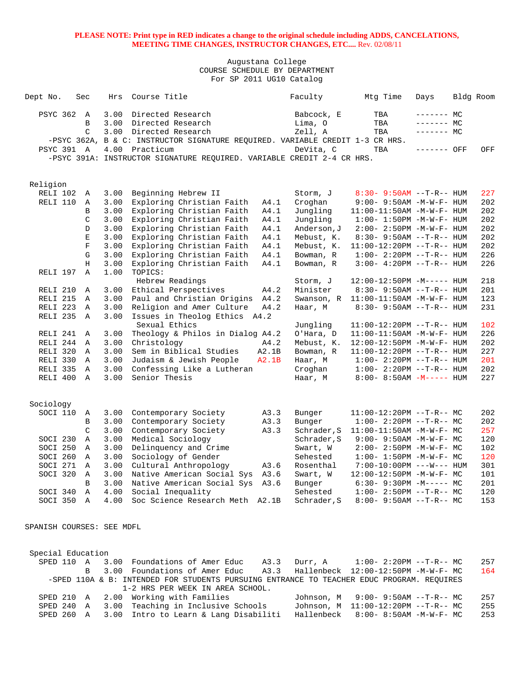### Augustana College COURSE SCHEDULE BY DEPARTMENT For SP 2011 UG10 Catalog

| Dept No.                  | Sec            | Hrs  | Course Title                                                                              |       | Faculty     | Mtg Time                            | Days        | Bldg Room |     |
|---------------------------|----------------|------|-------------------------------------------------------------------------------------------|-------|-------------|-------------------------------------|-------------|-----------|-----|
| PSYC 362                  | A              | 3.00 | Directed Research                                                                         |       | Babcock, E  | TBA                                 | ------- MC  |           |     |
|                           | B              | 3.00 | Directed Research                                                                         |       | Lima, O     | TBA                                 | ------- MC  |           |     |
|                           | $\mathcal{C}$  |      | 3.00 Directed Research                                                                    |       | Zell, A     | TBA                                 | ------- MC  |           |     |
|                           |                |      | -PSYC 362A, B & C: INSTRUCTOR SIGNATURE REQUIRED. VARIABLE CREDIT 1-3 CR HRS.             |       |             |                                     |             |           |     |
| <b>PSYC 391 A</b>         |                |      | 4.00 Practicum                                                                            |       | DeVita, C   | TBA                                 | ------- OFF |           | OFF |
|                           |                |      | -PSYC 391A: INSTRUCTOR SIGNATURE REQUIRED. VARIABLE CREDIT 2-4 CR HRS.                    |       |             |                                     |             |           |     |
|                           |                |      |                                                                                           |       |             |                                     |             |           |     |
| Religion                  |                |      |                                                                                           |       |             |                                     |             |           |     |
| RELI 102                  | Α              | 3.00 | Beginning Hebrew II                                                                       |       | Storm, J    | $8:30 - 9:50AM -T-R-- HUM$          |             |           | 227 |
| RELI 110                  | A              | 3.00 | Exploring Christian Faith                                                                 | A4.1  | Croghan     | $9:00 - 9:50AM - M - W - F - HUM$   |             |           | 202 |
|                           | В              | 3.00 | Exploring Christian Faith                                                                 | A4.1  | Jungling    | $11:00-11:50AM$ -M-W-F- HUM         |             |           | 202 |
|                           | C              | 3.00 | Exploring Christian Faith                                                                 | A4.1  | Jungling    | $1:00 - 1:50PM -M -W -F - HUM$      |             |           | 202 |
|                           | D              | 3.00 |                                                                                           | A4.1  |             |                                     |             |           | 202 |
|                           |                |      | Exploring Christian Faith                                                                 |       | Anderson, J | $2:00 - 2:50PM -M-W-F - HUM$        |             |           |     |
|                           | Ε              | 3.00 | Exploring Christian Faith                                                                 | A4.1  | Mebust, K.  | $8:30 - 9:50AM -T-R-- HUM$          |             |           | 202 |
|                           | $\mathbf F$    | 3.00 | Exploring Christian Faith                                                                 | A4.1  | Mebust, K.  | $11:00-12:20PM$ --T-R-- HUM         |             |           | 202 |
|                           | G              | 3.00 | Exploring Christian Faith                                                                 | A4.1  | Bowman, R   | $1:00-2:20PM -T-R--HUM$             |             |           | 226 |
|                           | Η              | 3.00 | Exploring Christian Faith                                                                 | A4.1  | Bowman, R   | $3:00 - 4:20PM -T-R-- HUM$          |             |           | 226 |
| RELI 197                  | $\mathbb{A}$   | 1.00 | TOPICS:                                                                                   |       |             |                                     |             |           |     |
|                           |                |      | Hebrew Readings                                                                           |       | Storm, J    | $12:00-12:50PM -M---$ HUM           |             |           | 218 |
| RELI 210                  | Α              | 3.00 | Ethical Perspectives                                                                      | A4.2  | Minister    | $8:30 - 9:50AM -T-R-- HUM$          |             |           | 201 |
| RELI 215                  | $\mathbb A$    | 3.00 | Paul and Christian Origins                                                                | A4.2  | Swanson, R  | $11:00-11:50AM$ -M-W-F- HUM         |             |           | 123 |
| RELI 223                  | $\mathbb{A}$   | 3.00 | Religion and Amer Culture                                                                 | A4.2  | Haar, M     | $8:30 - 9:50AM -T-R-- HUM$          |             |           | 231 |
| RELI 235                  | A              | 3.00 | Issues in Theolog Ethics A4.2                                                             |       |             |                                     |             |           |     |
|                           |                |      | Sexual Ethics                                                                             |       | Jungling    | 11:00-12:20PM --T-R-- HUM           |             |           | 102 |
| RELI 241                  | Α              | 3.00 | Theology & Philos in Dialog A4.2                                                          |       | O'Hara, D   | 11:00-11:50AM -M-W-F- HUM           |             |           | 226 |
| RELI 244 A                |                | 3.00 | Christology                                                                               | A4.2  | Mebust, K.  | 12:00-12:50PM -M-W-F- HUM           |             |           | 202 |
| RELI 320                  | A              | 3.00 | Sem in Biblical Studies                                                                   | A2.1B | Bowman, R   | $11:00-12:20PM$ --T-R-- HUM         |             |           | 227 |
| RELI 330 A                |                | 3.00 | Judaism & Jewish People                                                                   | A2.1B | Haar, M     | $1:00 - 2:20PM -T-R--HUM$           |             |           | 201 |
| RELI 335                  | $\overline{A}$ | 3.00 | Confessing Like a Lutheran                                                                |       | Croghan     | $1:00-2:20PM -T-R--HUM$             |             |           | 202 |
| RELI 400                  | $\overline{A}$ | 3.00 | Senior Thesis                                                                             |       | Haar, M     | $8:00 - 8:50AM - M---$ HUM          |             |           | 227 |
|                           |                |      |                                                                                           |       |             |                                     |             |           |     |
| Sociology                 |                |      |                                                                                           |       |             |                                     |             |           |     |
| SOCI 110                  | Α              | 3.00 | Contemporary Society                                                                      | A3.3  | Bunger      | $11:00-12:20PM$ --T-R-- MC          |             |           | 202 |
|                           | B              | 3.00 | Contemporary Society                                                                      | A3.3  | Bunger      | $1:00-2:20PM -T-R--MC$              |             |           | 202 |
|                           | C              | 3.00 | Contemporary Society                                                                      | A3.3  | Schrader, S | $11:00-11:50AM$ -M-W-F- MC          |             |           | 257 |
| SOCI 230                  | $\mathbb A$    | 3.00 | Medical Sociology                                                                         |       | Schrader, S | $9:00 - 9:50AM - M - W - F - MC$    |             |           | 120 |
| SOCI 250                  | Α              | 3.00 | Delinquency and Crime                                                                     |       | Swart, W    | 2:00- 2:50PM -M-W-F- MC             |             |           | 102 |
| SOCI 260                  | A              | 3.00 | Sociology of Gender                                                                       |       | Sehested    | $1:00-1:50PM -M-W-F-MC$             |             |           | 120 |
| SOCI 271                  | A              | 3.00 | Cultural Anthropology                                                                     | A3.6  | Rosenthal   | $7:00-10:00PM$ ---W--- HUM          |             |           | 301 |
| SOCI 320                  |                |      |                                                                                           |       |             |                                     |             |           |     |
|                           | Α              | 3.00 | Native American Social Sys A3.6                                                           |       | Swart, W    | 12:00-12:50PM -M-W-F- MC            |             |           | 101 |
|                           | В              |      | 3.00 Native American Social Sys A3.6                                                      |       | Bunger      | $6:30 - 9:30PM -M--- MC$            |             |           | 201 |
| SOCI 340 A                |                |      | 4.00 Social Inequality                                                                    |       | Sehested    | $1:00-2:50PM -T-R--MC$              |             |           | 120 |
| SOCI 350 A                |                |      | 4.00 Soc Science Research Meth A2.1B                                                      |       | Schrader, S | $8:00 - 9:50AM -T-R-- MC$           |             |           | 153 |
|                           |                |      |                                                                                           |       |             |                                     |             |           |     |
| SPANISH COURSES: SEE MDFL |                |      |                                                                                           |       |             |                                     |             |           |     |
|                           |                |      |                                                                                           |       |             |                                     |             |           |     |
| Special Education         |                |      |                                                                                           |       |             |                                     |             |           |     |
| SPED 110 A                |                |      | 3.00 Foundations of Amer Educ                                                             | A3.3  | Durr, A     | $1:00-2:20PM -T-R--MC$              |             |           | 257 |
|                           | B              |      | 3.00 Foundations of Amer Educ                                                             | A3.3  |             | Hallenbeck 12:00-12:50PM -M-W-F- MC |             |           | 164 |
|                           |                |      | -SPED 110A & B: INTENDED FOR STUDENTS PURSUING ENTRANCE TO TEACHER EDUC PROGRAM. REQUIRES |       |             |                                     |             |           |     |
|                           |                |      | 1-2 HRS PER WEEK IN AREA SCHOOL.                                                          |       |             |                                     |             |           |     |
|                           |                |      | SPED 210 A 200 Working with Families                                                      |       |             | $Johnson$ M $9:00-9:50AM -T-R--MC$  |             |           | 257 |

 SPED 210 A 2.00 Working with Families Johnson, M 9:00- 9:50AM --T-R-- MC 257 SPED 240 A 3.00 Teaching in Inclusive Schools Johnson, M 11:00-12:20PM --T-R-- MC 255 SPED 260 A 3.00 Intro to Learn & Lang Disabiliti Hallenbeck 8:00- 8:50AM -M-W-F- MC 253